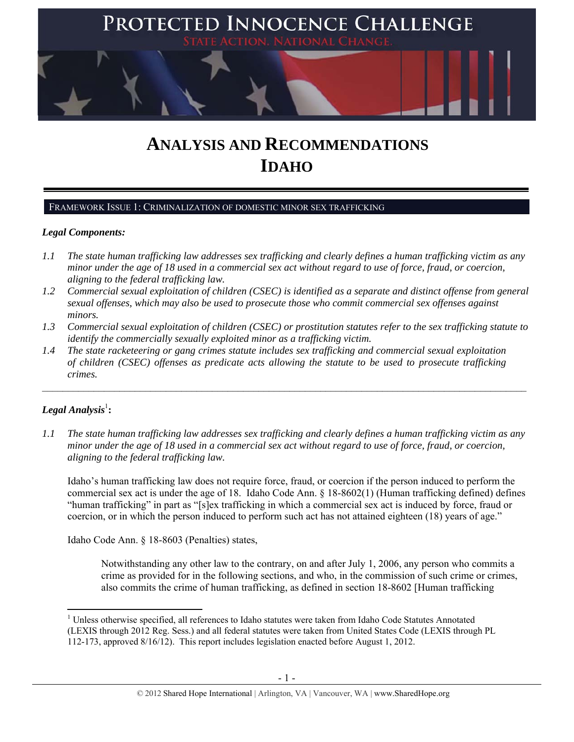

# **ANALYSIS AND RECOMMENDATIONS IDAHO**

## FRAMEWORK ISSUE 1: CRIMINALIZATION OF DOMESTIC MINOR SEX TRAFFICKING

## *Legal Components:*

- *1.1 The state human trafficking law addresses sex trafficking and clearly defines a human trafficking victim as any minor under the age of 18 used in a commercial sex act without regard to use of force, fraud, or coercion, aligning to the federal trafficking law.*
- *1.2 Commercial sexual exploitation of children (CSEC) is identified as a separate and distinct offense from general sexual offenses, which may also be used to prosecute those who commit commercial sex offenses against minors.*
- *1.3 Commercial sexual exploitation of children (CSEC) or prostitution statutes refer to the sex trafficking statute to identify the commercially sexually exploited minor as a trafficking victim.*

 $\mathcal{L}_\mathcal{L} = \{ \mathcal{L}_\mathcal{L} = \{ \mathcal{L}_\mathcal{L} = \{ \mathcal{L}_\mathcal{L} = \{ \mathcal{L}_\mathcal{L} = \{ \mathcal{L}_\mathcal{L} = \{ \mathcal{L}_\mathcal{L} = \{ \mathcal{L}_\mathcal{L} = \{ \mathcal{L}_\mathcal{L} = \{ \mathcal{L}_\mathcal{L} = \{ \mathcal{L}_\mathcal{L} = \{ \mathcal{L}_\mathcal{L} = \{ \mathcal{L}_\mathcal{L} = \{ \mathcal{L}_\mathcal{L} = \{ \mathcal{L}_\mathcal{$ 

*1.4 The state racketeering or gang crimes statute includes sex trafficking and commercial sexual exploitation of children (CSEC) offenses as predicate acts allowing the statute to be used to prosecute trafficking crimes.* 

# $\boldsymbol{Legal}$  Analysis $^{\mathrm{l}}$ :

*1.1 The state human trafficking law addresses sex trafficking and clearly defines a human trafficking victim as any minor under the age of 18 used in a commercial sex act without regard to use of force, fraud, or coercion, aligning to the federal trafficking law.*

Idaho's human trafficking law does not require force, fraud, or coercion if the person induced to perform the commercial sex act is under the age of 18. Idaho Code Ann. § 18-8602(1) (Human trafficking defined) defines "human trafficking" in part as "[s]ex trafficking in which a commercial sex act is induced by force, fraud or coercion, or in which the person induced to perform such act has not attained eighteen (18) years of age."

Idaho Code Ann. § 18-8603 (Penalties) states,

Notwithstanding any other law to the contrary, on and after July 1, 2006, any person who commits a crime as provided for in the following sections, and who, in the commission of such crime or crimes, also commits the crime of human trafficking, as defined in section 18-8602 [Human trafficking

 <sup>1</sup> Unless otherwise specified, all references to Idaho statutes were taken from Idaho Code Statutes Annotated (LEXIS through 2012 Reg. Sess.) and all federal statutes were taken from United States Code (LEXIS through PL 112-173, approved 8/16/12). This report includes legislation enacted before August 1, 2012.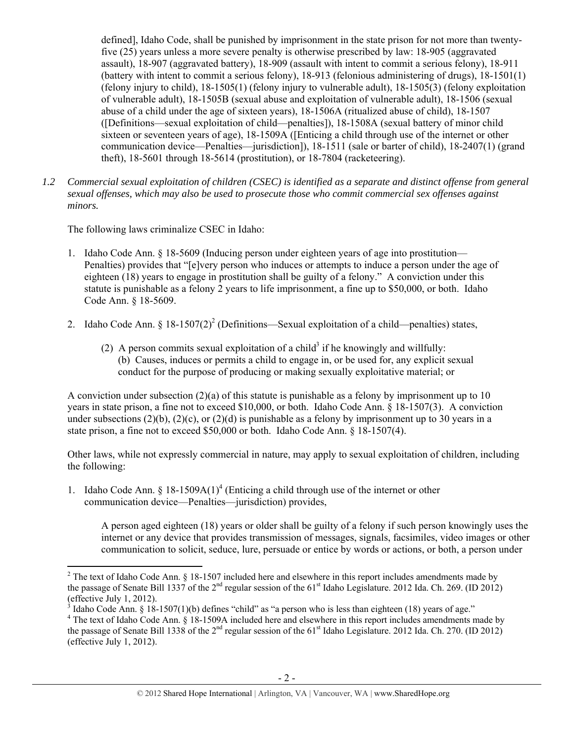defined], Idaho Code, shall be punished by imprisonment in the state prison for not more than twentyfive (25) years unless a more severe penalty is otherwise prescribed by law: 18-905 (aggravated assault), 18-907 (aggravated battery), 18-909 (assault with intent to commit a serious felony), 18-911 (battery with intent to commit a serious felony), 18-913 (felonious administering of drugs), 18-1501(1) (felony injury to child), 18-1505(1) (felony injury to vulnerable adult), 18-1505(3) (felony exploitation of vulnerable adult), 18-1505B (sexual abuse and exploitation of vulnerable adult), 18-1506 (sexual abuse of a child under the age of sixteen years), 18-1506A (ritualized abuse of child), 18-1507 ([Definitions—sexual exploitation of child—penalties]), 18-1508A (sexual battery of minor child sixteen or seventeen years of age), 18-1509A ([Enticing a child through use of the internet or other communication device—Penalties—jurisdiction]), 18-1511 (sale or barter of child), 18-2407(1) (grand theft), 18-5601 through 18-5614 (prostitution), or 18-7804 (racketeering).

*1.2 Commercial sexual exploitation of children (CSEC) is identified as a separate and distinct offense from general sexual offenses, which may also be used to prosecute those who commit commercial sex offenses against minors.*

The following laws criminalize CSEC in Idaho:

- 1. Idaho Code Ann. § 18-5609 (Inducing person under eighteen years of age into prostitution— Penalties) provides that "[e]very person who induces or attempts to induce a person under the age of eighteen (18) years to engage in prostitution shall be guilty of a felony." A conviction under this statute is punishable as a felony 2 years to life imprisonment, a fine up to \$50,000, or both. Idaho Code Ann. § 18-5609.
- 2. Idaho Code Ann. § 18-1507(2)<sup>2</sup> (Definitions—Sexual exploitation of a child—penalties) states,
	- (2) A person commits sexual exploitation of a child<sup>3</sup> if he knowingly and willfully: (b) Causes, induces or permits a child to engage in, or be used for, any explicit sexual conduct for the purpose of producing or making sexually exploitative material; or

A conviction under subsection  $(2)(a)$  of this statute is punishable as a felony by imprisonment up to 10 years in state prison, a fine not to exceed \$10,000, or both. Idaho Code Ann. § 18-1507(3). A conviction under subsections (2)(b), (2)(c), or (2)(d) is punishable as a felony by imprisonment up to 30 years in a state prison, a fine not to exceed \$50,000 or both. Idaho Code Ann. § 18-1507(4).

Other laws, while not expressly commercial in nature, may apply to sexual exploitation of children, including the following:

1. Idaho Code Ann. § 18-1509 $A(1)^4$  (Enticing a child through use of the internet or other communication device—Penalties—jurisdiction) provides,

A person aged eighteen (18) years or older shall be guilty of a felony if such person knowingly uses the internet or any device that provides transmission of messages, signals, facsimiles, video images or other communication to solicit, seduce, lure, persuade or entice by words or actions, or both, a person under

<sup>&</sup>lt;sup>2</sup> The text of Idaho Code Ann. § 18-1507 included here and elsewhere in this report includes amendments made by the passage of Senate Bill 1337 of the  $2<sup>nd</sup>$  regular session of the 61<sup>st</sup> Idaho Legislature. 2012 Ida. Ch. 269. (ID 2012) (effective July 1, 2012).

<sup>&</sup>lt;sup>3</sup> Idaho Code Ann. § 18-1507(1)(b) defines "child" as "a person who is less than eighteen (18) years of age."  $4$ <sup>4</sup> The text of Idaho Code Ann. § 18-1500A included here and electrical in this report includes among ments

<sup>&</sup>lt;sup>4</sup> The text of Idaho Code Ann. § 18-1509A included here and elsewhere in this report includes amendments made by the passage of Senate Bill 1338 of the  $2^{nd}$  regular session of the 61<sup>st</sup> Idaho Legislature. 2012 Ida. Ch. 270. (ID 2012) (effective July 1, 2012).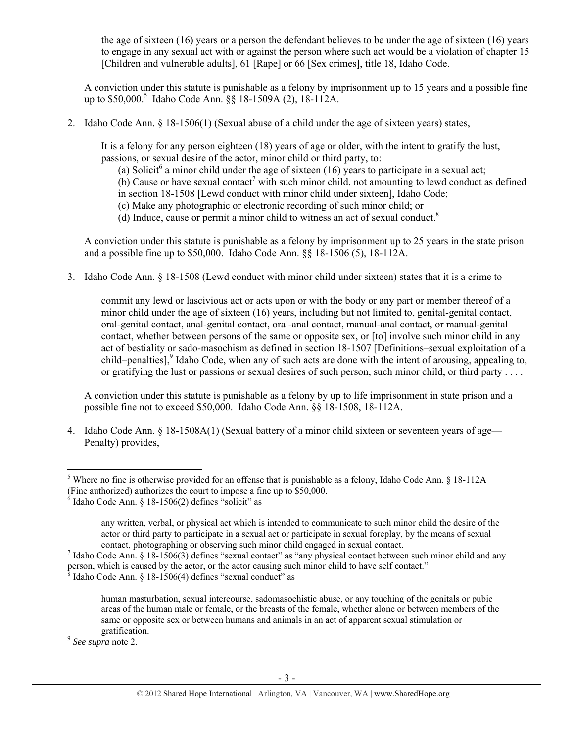the age of sixteen (16) years or a person the defendant believes to be under the age of sixteen (16) years to engage in any sexual act with or against the person where such act would be a violation of chapter 15 [Children and vulnerable adults], 61 [Rape] or 66 [Sex crimes], title 18, Idaho Code.

A conviction under this statute is punishable as a felony by imprisonment up to 15 years and a possible fine up to \$50,000.<sup>5</sup> Idaho Code Ann. §§ 18-1509A (2), 18-112A.

2. Idaho Code Ann. § 18-1506(1) (Sexual abuse of a child under the age of sixteen years) states,

It is a felony for any person eighteen (18) years of age or older, with the intent to gratify the lust, passions, or sexual desire of the actor, minor child or third party, to:

(a) Solicit<sup>6</sup> a minor child under the age of sixteen (16) years to participate in a sexual act;

 $(b)$  Cause or have sexual contact<sup>7</sup> with such minor child, not amounting to lewd conduct as defined in section 18-1508 [Lewd conduct with minor child under sixteen], Idaho Code;

(c) Make any photographic or electronic recording of such minor child; or

(d) Induce, cause or permit a minor child to witness an act of sexual conduct.<sup>8</sup>

A conviction under this statute is punishable as a felony by imprisonment up to 25 years in the state prison and a possible fine up to \$50,000. Idaho Code Ann. §§ 18-1506 (5), 18-112A.

3. Idaho Code Ann. § 18-1508 (Lewd conduct with minor child under sixteen) states that it is a crime to

commit any lewd or lascivious act or acts upon or with the body or any part or member thereof of a minor child under the age of sixteen (16) years, including but not limited to, genital-genital contact, oral-genital contact, anal-genital contact, oral-anal contact, manual-anal contact, or manual-genital contact, whether between persons of the same or opposite sex, or [to] involve such minor child in any act of bestiality or sado-masochism as defined in section 18-1507 [Definitions–sexual exploitation of a child–penalties],<sup>9</sup> Idaho Code, when any of such acts are done with the intent of arousing, appealing to, or gratifying the lust or passions or sexual desires of such person, such minor child, or third party . . . .

A conviction under this statute is punishable as a felony by up to life imprisonment in state prison and a possible fine not to exceed \$50,000. Idaho Code Ann. §§ 18-1508, 18-112A.

4. Idaho Code Ann. § 18-1508A(1) (Sexual battery of a minor child sixteen or seventeen years of age— Penalty) provides,

gratification. 9 *See supra* note 2.

<sup>&</sup>lt;sup>5</sup> Where no fine is otherwise provided for an offense that is punishable as a felony, Idaho Code Ann. § 18-112A (Fine authorized) authorizes the court to impose a fine up to \$50,000.

 $6$  Idaho Code Ann. § 18-1506(2) defines "solicit" as

any written, verbal, or physical act which is intended to communicate to such minor child the desire of the actor or third party to participate in a sexual act or participate in sexual foreplay, by the means of sexual contact, photographing or observing such minor child engaged in sexual contact.

 $\frac{7}{1}$  Idaho Code Ann. § 18-1506(3) defines "sexual contact" as "any physical contact between such minor child and any person, which is caused by the actor, or the actor causing such minor child to have self contact."

 $\frac{8}{8}$  Idaho Code Ann. § 18-1506(4) defines "sexual conduct" as

human masturbation, sexual intercourse, sadomasochistic abuse, or any touching of the genitals or pubic areas of the human male or female, or the breasts of the female, whether alone or between members of the same or opposite sex or between humans and animals in an act of apparent sexual stimulation or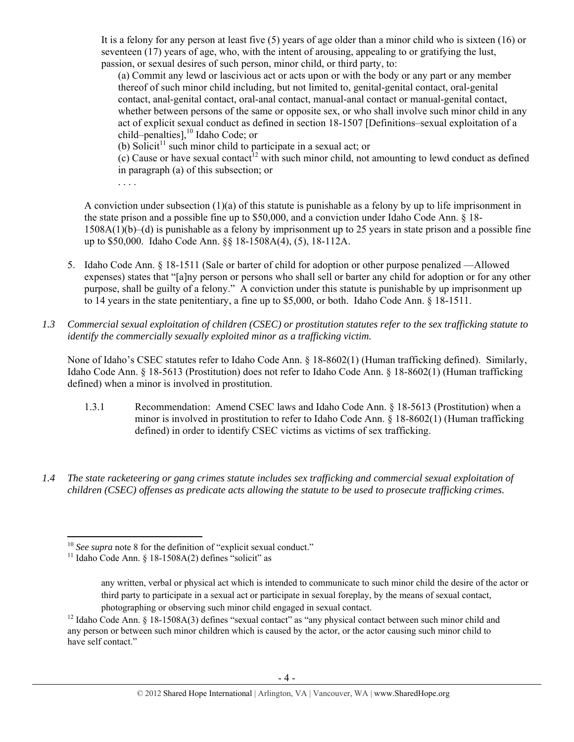It is a felony for any person at least five (5) years of age older than a minor child who is sixteen (16) or seventeen (17) years of age, who, with the intent of arousing, appealing to or gratifying the lust, passion, or sexual desires of such person, minor child, or third party, to:

(a) Commit any lewd or lascivious act or acts upon or with the body or any part or any member thereof of such minor child including, but not limited to, genital-genital contact, oral-genital contact, anal-genital contact, oral-anal contact, manual-anal contact or manual-genital contact, whether between persons of the same or opposite sex, or who shall involve such minor child in any act of explicit sexual conduct as defined in section 18-1507 [Definitions–sexual exploitation of a child–penalties],<sup>10</sup> Idaho Code; or

(b) Solicit<sup>11</sup> such minor child to participate in a sexual act; or

 $(c)$  Cause or have sexual contact<sup>12</sup> with such minor child, not amounting to lewd conduct as defined in paragraph (a) of this subsection; or

. . . .

A conviction under subsection (1)(a) of this statute is punishable as a felony by up to life imprisonment in the state prison and a possible fine up to \$50,000, and a conviction under Idaho Code Ann. § 18- 1508A(1)(b)–(d) is punishable as a felony by imprisonment up to 25 years in state prison and a possible fine up to \$50,000. Idaho Code Ann. §§ 18-1508A(4), (5), 18-112A.

- 5. Idaho Code Ann. § 18-1511 (Sale or barter of child for adoption or other purpose penalized —Allowed expenses) states that "[a]ny person or persons who shall sell or barter any child for adoption or for any other purpose, shall be guilty of a felony." A conviction under this statute is punishable by up imprisonment up to 14 years in the state penitentiary, a fine up to \$5,000, or both. Idaho Code Ann. § 18-1511.
- *1.3 Commercial sexual exploitation of children (CSEC) or prostitution statutes refer to the sex trafficking statute to identify the commercially sexually exploited minor as a trafficking victim.*

None of Idaho's CSEC statutes refer to Idaho Code Ann. § 18-8602(1) (Human trafficking defined). Similarly, Idaho Code Ann. § 18-5613 (Prostitution) does not refer to Idaho Code Ann. § 18-8602(1) (Human trafficking defined) when a minor is involved in prostitution.

- 1.3.1 Recommendation: Amend CSEC laws and Idaho Code Ann. § 18-5613 (Prostitution) when a minor is involved in prostitution to refer to Idaho Code Ann. § 18-8602(1) (Human trafficking defined) in order to identify CSEC victims as victims of sex trafficking.
- *1.4 The state racketeering or gang crimes statute includes sex trafficking and commercial sexual exploitation of children (CSEC) offenses as predicate acts allowing the statute to be used to prosecute trafficking crimes.*

 <sup>10</sup> *See supra* note 8 for the definition of "explicit sexual conduct."<br><sup>11</sup> Idaho Code Ann. § 18-1508A(2) defines "solicit" as

any written, verbal or physical act which is intended to communicate to such minor child the desire of the actor or third party to participate in a sexual act or participate in sexual foreplay, by the means of sexual contact,

photographing or observing such minor child engaged in sexual contact.<br><sup>12</sup> Idaho Code Ann. § 18-1508A(3) defines "sexual contact" as "any physical contact between such minor child and any person or between such minor children which is caused by the actor, or the actor causing such minor child to have self contact."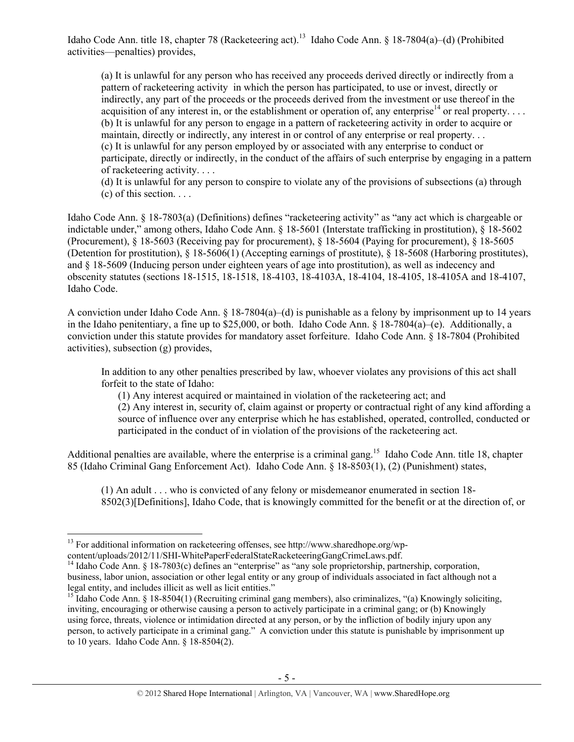Idaho Code Ann. title 18, chapter 78 (Racketeering act).<sup>13</sup> Idaho Code Ann. § 18-7804(a)–(d) (Prohibited activities—penalties) provides,

(a) It is unlawful for any person who has received any proceeds derived directly or indirectly from a pattern of racketeering activity in which the person has participated, to use or invest, directly or indirectly, any part of the proceeds or the proceeds derived from the investment or use thereof in the acquisition of any interest in, or the establishment or operation of, any enterprise<sup>14</sup> or real property.... (b) It is unlawful for any person to engage in a pattern of racketeering activity in order to acquire or maintain, directly or indirectly, any interest in or control of any enterprise or real property. . . (c) It is unlawful for any person employed by or associated with any enterprise to conduct or participate, directly or indirectly, in the conduct of the affairs of such enterprise by engaging in a pattern of racketeering activity. . . .

(d) It is unlawful for any person to conspire to violate any of the provisions of subsections (a) through  $(c)$  of this section. . . .

Idaho Code Ann. § 18-7803(a) (Definitions) defines "racketeering activity" as "any act which is chargeable or indictable under," among others, Idaho Code Ann. § 18-5601 (Interstate trafficking in prostitution), § 18-5602 (Procurement), § 18-5603 (Receiving pay for procurement), § 18-5604 (Paying for procurement), § 18-5605 (Detention for prostitution), § 18-5606(1) (Accepting earnings of prostitute), § 18-5608 (Harboring prostitutes), and § 18-5609 (Inducing person under eighteen years of age into prostitution), as well as indecency and obscenity statutes (sections 18-1515, 18-1518, 18-4103, 18-4103A, 18-4104, 18-4105, 18-4105A and 18-4107, Idaho Code.

A conviction under Idaho Code Ann. § 18-7804(a)–(d) is punishable as a felony by imprisonment up to 14 years in the Idaho penitentiary, a fine up to \$25,000, or both. Idaho Code Ann. § 18-7804(a)–(e). Additionally, a conviction under this statute provides for mandatory asset forfeiture. Idaho Code Ann. § 18-7804 (Prohibited activities), subsection (g) provides,

In addition to any other penalties prescribed by law, whoever violates any provisions of this act shall forfeit to the state of Idaho:

(1) Any interest acquired or maintained in violation of the racketeering act; and

(2) Any interest in, security of, claim against or property or contractual right of any kind affording a source of influence over any enterprise which he has established, operated, controlled, conducted or participated in the conduct of in violation of the provisions of the racketeering act.

Additional penalties are available, where the enterprise is a criminal gang.<sup>15</sup> Idaho Code Ann, title 18, chapter 85 (Idaho Criminal Gang Enforcement Act). Idaho Code Ann. § 18-8503(1), (2) (Punishment) states,

(1) An adult . . . who is convicted of any felony or misdemeanor enumerated in section 18- 8502(3)[Definitions], Idaho Code, that is knowingly committed for the benefit or at the direction of, or

<sup>&</sup>lt;sup>13</sup> For additional information on racketeering offenses, see http://www.sharedhope.org/wp-content/uploads/2012/11/SHI-WhitePaperFederalStateRacketeeringGangCrimeLaws.pdf.

<sup>&</sup>lt;sup>14</sup> Idaho Code Ann. § 18-7803(c) defines an "enterprise" as "any sole proprietorship, partnership, corporation, business, labor union, association or other legal entity or any group of individuals associated in fact although not a legal entity, and includes illicit as well as licit entities."

<sup>&</sup>lt;sup>15</sup> Idaho Code Ann. § 18-8504(1) (Recruiting criminal gang members), also criminalizes, "(a) Knowingly soliciting, inviting, encouraging or otherwise causing a person to actively participate in a criminal gang; or (b) Knowingly using force, threats, violence or intimidation directed at any person, or by the infliction of bodily injury upon any person, to actively participate in a criminal gang." A conviction under this statute is punishable by imprisonment up to 10 years. Idaho Code Ann. § 18-8504(2).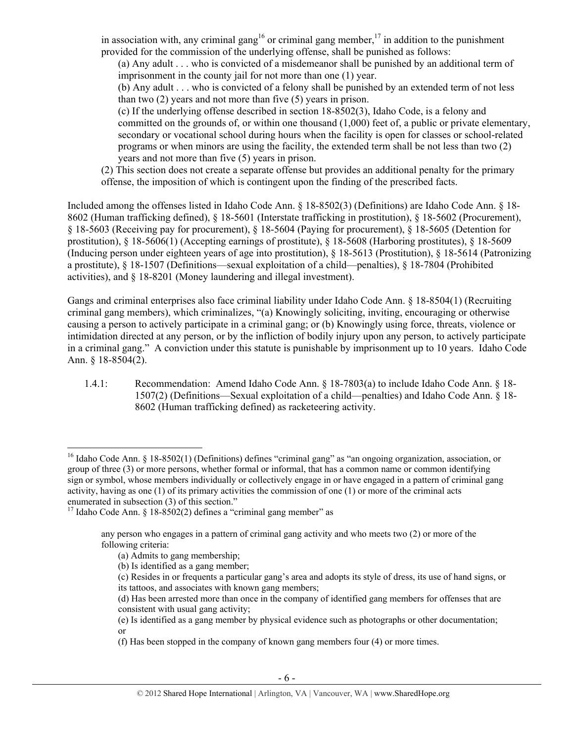in association with, any criminal gang<sup>16</sup> or criminal gang member,<sup>17</sup> in addition to the punishment provided for the commission of the underlying offense, shall be punished as follows:

(a) Any adult . . . who is convicted of a misdemeanor shall be punished by an additional term of imprisonment in the county jail for not more than one (1) year.

(b) Any adult . . . who is convicted of a felony shall be punished by an extended term of not less than two (2) years and not more than five (5) years in prison.

(c) If the underlying offense described in section 18-8502(3), Idaho Code, is a felony and committed on the grounds of, or within one thousand (1,000) feet of, a public or private elementary, secondary or vocational school during hours when the facility is open for classes or school-related programs or when minors are using the facility, the extended term shall be not less than two (2) years and not more than five (5) years in prison.

(2) This section does not create a separate offense but provides an additional penalty for the primary offense, the imposition of which is contingent upon the finding of the prescribed facts.

Included among the offenses listed in Idaho Code Ann. § 18-8502(3) (Definitions) are Idaho Code Ann. § 18- 8602 (Human trafficking defined), § 18-5601 (Interstate trafficking in prostitution), § 18-5602 (Procurement), § 18-5603 (Receiving pay for procurement), § 18-5604 (Paying for procurement), § 18-5605 (Detention for prostitution), § 18-5606(1) (Accepting earnings of prostitute), § 18-5608 (Harboring prostitutes), § 18-5609 (Inducing person under eighteen years of age into prostitution), § 18-5613 (Prostitution), § 18-5614 (Patronizing a prostitute), § 18-1507 (Definitions—sexual exploitation of a child—penalties), § 18-7804 (Prohibited activities), and § 18-8201 (Money laundering and illegal investment).

Gangs and criminal enterprises also face criminal liability under Idaho Code Ann. § 18-8504(1) (Recruiting criminal gang members), which criminalizes, "(a) Knowingly soliciting, inviting, encouraging or otherwise causing a person to actively participate in a criminal gang; or (b) Knowingly using force, threats, violence or intimidation directed at any person, or by the infliction of bodily injury upon any person, to actively participate in a criminal gang." A conviction under this statute is punishable by imprisonment up to 10 years. Idaho Code Ann. § 18-8504(2).

1.4.1: Recommendation: Amend Idaho Code Ann. § 18-7803(a) to include Idaho Code Ann. § 18- 1507(2) (Definitions—Sexual exploitation of a child—penalties) and Idaho Code Ann. § 18- 8602 (Human trafficking defined) as racketeering activity.

 <sup>16</sup> Idaho Code Ann. § 18-8502(1) (Definitions) defines "criminal gang" as "an ongoing organization, association, or group of three (3) or more persons, whether formal or informal, that has a common name or common identifying sign or symbol, whose members individually or collectively engage in or have engaged in a pattern of criminal gang activity, having as one (1) of its primary activities the commission of one (1) or more of the criminal acts enumerated in subsection (3) of this section."

<sup>&</sup>lt;sup>17</sup> Idaho Code Ann. § 18-8502(2) defines a "criminal gang member" as

any person who engages in a pattern of criminal gang activity and who meets two (2) or more of the following criteria:

<sup>(</sup>a) Admits to gang membership;

<sup>(</sup>b) Is identified as a gang member;

<sup>(</sup>c) Resides in or frequents a particular gang's area and adopts its style of dress, its use of hand signs, or its tattoos, and associates with known gang members;

<sup>(</sup>d) Has been arrested more than once in the company of identified gang members for offenses that are consistent with usual gang activity;

<sup>(</sup>e) Is identified as a gang member by physical evidence such as photographs or other documentation; or

<sup>(</sup>f) Has been stopped in the company of known gang members four (4) or more times.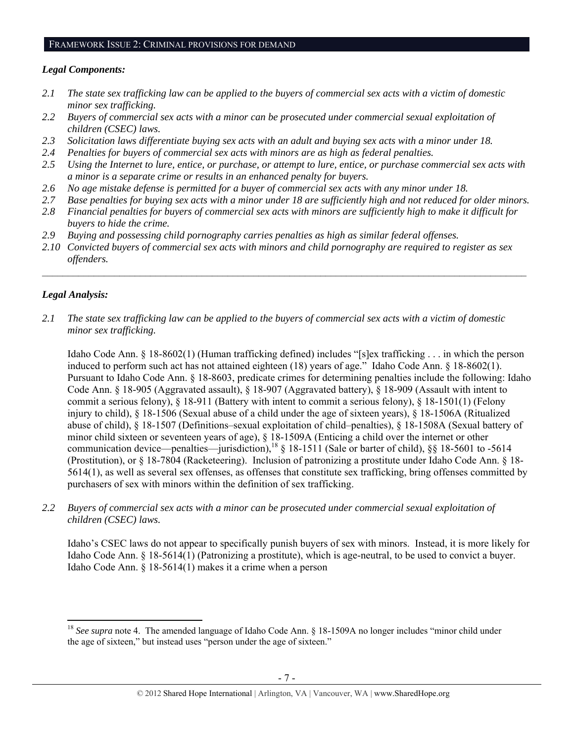# FRAMEWORK ISSUE 2: CRIMINAL PROVISIONS FOR DEMAND

#### *Legal Components:*

- *2.1 The state sex trafficking law can be applied to the buyers of commercial sex acts with a victim of domestic minor sex trafficking.*
- *2.2 Buyers of commercial sex acts with a minor can be prosecuted under commercial sexual exploitation of children (CSEC) laws.*
- *2.3 Solicitation laws differentiate buying sex acts with an adult and buying sex acts with a minor under 18.*
- *2.4 Penalties for buyers of commercial sex acts with minors are as high as federal penalties.*
- *2.5 Using the Internet to lure, entice, or purchase, or attempt to lure, entice, or purchase commercial sex acts with a minor is a separate crime or results in an enhanced penalty for buyers.*
- *2.6 No age mistake defense is permitted for a buyer of commercial sex acts with any minor under 18.*
- *2.7 Base penalties for buying sex acts with a minor under 18 are sufficiently high and not reduced for older minors.*
- *2.8 Financial penalties for buyers of commercial sex acts with minors are sufficiently high to make it difficult for buyers to hide the crime.*
- *2.9 Buying and possessing child pornography carries penalties as high as similar federal offenses.*
- *2.10 Convicted buyers of commercial sex acts with minors and child pornography are required to register as sex offenders.*

 $\mathcal{L}_\mathcal{L} = \{ \mathcal{L}_\mathcal{L} = \{ \mathcal{L}_\mathcal{L} = \{ \mathcal{L}_\mathcal{L} = \{ \mathcal{L}_\mathcal{L} = \{ \mathcal{L}_\mathcal{L} = \{ \mathcal{L}_\mathcal{L} = \{ \mathcal{L}_\mathcal{L} = \{ \mathcal{L}_\mathcal{L} = \{ \mathcal{L}_\mathcal{L} = \{ \mathcal{L}_\mathcal{L} = \{ \mathcal{L}_\mathcal{L} = \{ \mathcal{L}_\mathcal{L} = \{ \mathcal{L}_\mathcal{L} = \{ \mathcal{L}_\mathcal{$ 

# *Legal Analysis:*

*2.1 The state sex trafficking law can be applied to the buyers of commercial sex acts with a victim of domestic minor sex trafficking.*

Idaho Code Ann. § 18-8602(1) (Human trafficking defined) includes "[s]ex trafficking . . . in which the person induced to perform such act has not attained eighteen (18) years of age." Idaho Code Ann. § 18-8602(1). Pursuant to Idaho Code Ann. § 18-8603, predicate crimes for determining penalties include the following: Idaho Code Ann. § 18-905 (Aggravated assault), § 18-907 (Aggravated battery), § 18-909 (Assault with intent to commit a serious felony), § 18-911 (Battery with intent to commit a serious felony), § 18-1501(1) (Felony injury to child), § 18-1506 (Sexual abuse of a child under the age of sixteen years), § 18-1506A (Ritualized abuse of child), § 18-1507 (Definitions–sexual exploitation of child–penalties), § 18-1508A (Sexual battery of minor child sixteen or seventeen years of age), § 18-1509A (Enticing a child over the internet or other communication device—penalties—jurisdiction),<sup>18</sup> § 18-1511 (Sale or barter of child), §§ 18-5601 to -5614 (Prostitution), or § 18-7804 (Racketeering). Inclusion of patronizing a prostitute under Idaho Code Ann. § 18- 5614(1), as well as several sex offenses, as offenses that constitute sex trafficking, bring offenses committed by purchasers of sex with minors within the definition of sex trafficking.

*2.2 Buyers of commercial sex acts with a minor can be prosecuted under commercial sexual exploitation of children (CSEC) laws.* 

Idaho's CSEC laws do not appear to specifically punish buyers of sex with minors. Instead, it is more likely for Idaho Code Ann. § 18-5614(1) (Patronizing a prostitute), which is age-neutral, to be used to convict a buyer. Idaho Code Ann. § 18-5614(1) makes it a crime when a person

 <sup>18</sup> See supra note 4. The amended language of Idaho Code Ann. § 18-1509A no longer includes "minor child under the age of sixteen," but instead uses "person under the age of sixteen."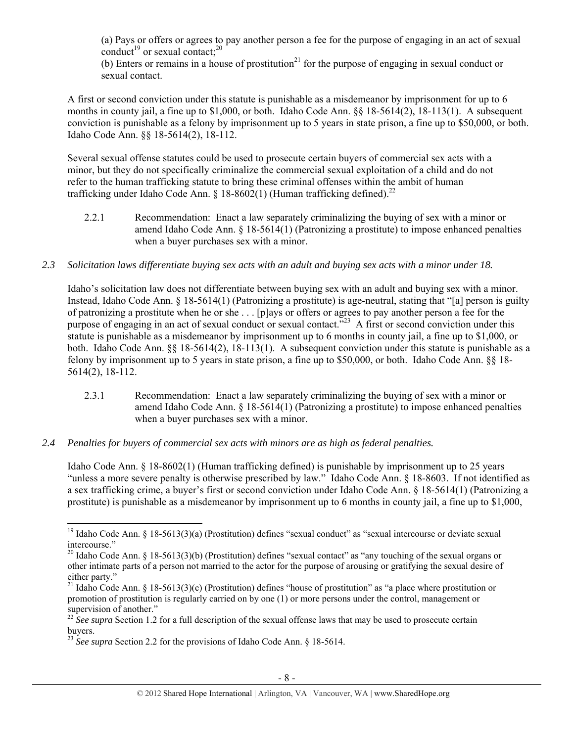(a) Pays or offers or agrees to pay another person a fee for the purpose of engaging in an act of sexual conduct<sup>19</sup> or sexual contact;<sup>20</sup>

(b) Enters or remains in a house of prostitution<sup>21</sup> for the purpose of engaging in sexual conduct or sexual contact.

A first or second conviction under this statute is punishable as a misdemeanor by imprisonment for up to 6 months in county jail, a fine up to \$1,000, or both. Idaho Code Ann. §§ 18-5614(2), 18-113(1). A subsequent conviction is punishable as a felony by imprisonment up to 5 years in state prison, a fine up to \$50,000, or both. Idaho Code Ann. §§ 18-5614(2), 18-112.

Several sexual offense statutes could be used to prosecute certain buyers of commercial sex acts with a minor, but they do not specifically criminalize the commercial sexual exploitation of a child and do not refer to the human trafficking statute to bring these criminal offenses within the ambit of human trafficking under Idaho Code Ann.  $\S$  18-8602(1) (Human trafficking defined).<sup>22</sup>

- 2.2.1 Recommendation: Enact a law separately criminalizing the buying of sex with a minor or amend Idaho Code Ann. § 18-5614(1) (Patronizing a prostitute) to impose enhanced penalties when a buyer purchases sex with a minor.
- *2.3 Solicitation laws differentiate buying sex acts with an adult and buying sex acts with a minor under 18.*

Idaho's solicitation law does not differentiate between buying sex with an adult and buying sex with a minor. Instead, Idaho Code Ann. § 18-5614(1) (Patronizing a prostitute) is age-neutral, stating that "[a] person is guilty of patronizing a prostitute when he or she . . . [p]ays or offers or agrees to pay another person a fee for the purpose of engaging in an act of sexual conduct or sexual contact.<sup>723</sup> A first or second conviction under this statute is punishable as a misdemeanor by imprisonment up to 6 months in county jail, a fine up to \$1,000, or both. Idaho Code Ann. §§ 18-5614(2), 18-113(1). A subsequent conviction under this statute is punishable as a felony by imprisonment up to 5 years in state prison, a fine up to \$50,000, or both. Idaho Code Ann. §§ 18- 5614(2), 18-112.

- 2.3.1 Recommendation: Enact a law separately criminalizing the buying of sex with a minor or amend Idaho Code Ann. § 18-5614(1) (Patronizing a prostitute) to impose enhanced penalties when a buyer purchases sex with a minor.
- *2.4 Penalties for buyers of commercial sex acts with minors are as high as federal penalties.*

Idaho Code Ann. § 18-8602(1) (Human trafficking defined) is punishable by imprisonment up to 25 years "unless a more severe penalty is otherwise prescribed by law." Idaho Code Ann. § 18-8603. If not identified as a sex trafficking crime, a buyer's first or second conviction under Idaho Code Ann. § 18-5614(1) (Patronizing a prostitute) is punishable as a misdemeanor by imprisonment up to 6 months in county jail, a fine up to \$1,000,

 <sup>19</sup> Idaho Code Ann. § 18-5613(3)(a) (Prostitution) defines "sexual conduct" as "sexual intercourse or deviate sexual intercourse."

<sup>&</sup>lt;sup>20</sup> Idaho Code Ann. § 18-5613(3)(b) (Prostitution) defines "sexual contact" as "any touching of the sexual organs or other intimate parts of a person not married to the actor for the purpose of arousing or gratifying the sexual desire of either party."

<sup>&</sup>lt;sup>21</sup> Idaho Code Ann. § 18-5613(3)(c) (Prostitution) defines "house of prostitution" as "a place where prostitution or promotion of prostitution is regularly carried on by one (1) or more persons under the control, management or supervision of another."

 $22 \text{ }$  *See supra* Section 1.2 for a full description of the sexual offense laws that may be used to prosecute certain buyers.

<sup>&</sup>lt;sup>23</sup> *See supra* Section 2.2 for the provisions of Idaho Code Ann. § 18-5614.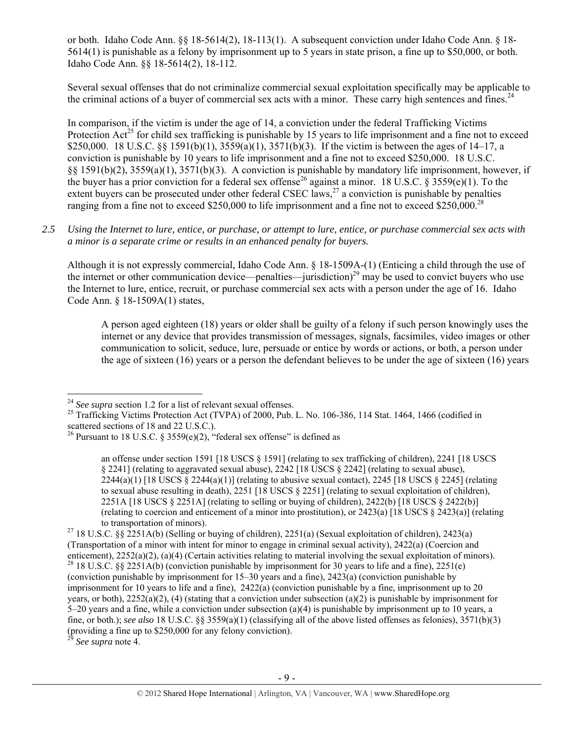or both. Idaho Code Ann. §§ 18-5614(2), 18-113(1). A subsequent conviction under Idaho Code Ann. § 18- 5614(1) is punishable as a felony by imprisonment up to 5 years in state prison, a fine up to \$50,000, or both. Idaho Code Ann. §§ 18-5614(2), 18-112.

Several sexual offenses that do not criminalize commercial sexual exploitation specifically may be applicable to the criminal actions of a buyer of commercial sex acts with a minor. These carry high sentences and fines.<sup>24</sup>

In comparison, if the victim is under the age of 14, a conviction under the federal Trafficking Victims Protection  $Act^{25}$  for child sex trafficking is punishable by 15 years to life imprisonment and a fine not to exceed \$250,000. 18 U.S.C. §§ 1591(b)(1), 3559(a)(1), 3571(b)(3). If the victim is between the ages of 14–17, a conviction is punishable by 10 years to life imprisonment and a fine not to exceed \$250,000. 18 U.S.C. §§ 1591(b)(2), 3559(a)(1), 3571(b)(3). A conviction is punishable by mandatory life imprisonment, however, if the buyer has a prior conviction for a federal sex offense<sup>26</sup> against a minor. 18 U.S.C. § 3559(e)(1). To the extent buyers can be prosecuted under other federal CSEC laws, $^{27}$  a conviction is punishable by penalties ranging from a fine not to exceed \$250,000 to life imprisonment and a fine not to exceed \$250,000.<sup>28</sup>

*2.5 Using the Internet to lure, entice, or purchase, or attempt to lure, entice, or purchase commercial sex acts with a minor is a separate crime or results in an enhanced penalty for buyers.* 

Although it is not expressly commercial, Idaho Code Ann. § 18-1509A-(1) (Enticing a child through the use of the internet or other communication device—penalties—jurisdiction)<sup>29</sup> may be used to convict buyers who use the Internet to lure, entice, recruit, or purchase commercial sex acts with a person under the age of 16. Idaho Code Ann. § 18-1509A(1) states,

A person aged eighteen (18) years or older shall be guilty of a felony if such person knowingly uses the internet or any device that provides transmission of messages, signals, facsimiles, video images or other communication to solicit, seduce, lure, persuade or entice by words or actions, or both, a person under the age of sixteen (16) years or a person the defendant believes to be under the age of sixteen (16) years

<sup>29</sup> *See supra* note 4.

 $24$  See supra section 1.2 for a list of relevant sexual offenses.

<sup>&</sup>lt;sup>25</sup> Trafficking Victims Protection Act (TVPA) of 2000, Pub. L. No. 106-386, 114 Stat. 1464, 1466 (codified in scattered sections of 18 and 22 U.S.C.).

<sup>&</sup>lt;sup>26</sup> Pursuant to 18 U.S.C. § 3559(e)(2), "federal sex offense" is defined as

an offense under section 1591 [18 USCS § 1591] (relating to sex trafficking of children), 2241 [18 USCS § 2241] (relating to aggravated sexual abuse), 2242 [18 USCS § 2242] (relating to sexual abuse),  $2244(a)(1)$  [18 USCS § 2244(a)(1)] (relating to abusive sexual contact), 2245 [18 USCS § 2245] (relating to sexual abuse resulting in death), 2251 [18 USCS § 2251] (relating to sexual exploitation of children), 2251A [18 USCS § 2251A] (relating to selling or buying of children), 2422(b) [18 USCS § 2422(b)] (relating to coercion and enticement of a minor into prostitution), or 2423(a) [18 USCS § 2423(a)] (relating to transportation of minors).<br><sup>27</sup> 18 U.S.C. §§ 2251A(b) (Selling or buying of children), 2251(a) (Sexual exploitation of children), 2423(a)

<sup>(</sup>Transportation of a minor with intent for minor to engage in criminal sexual activity), 2422(a) (Coercion and enticement), 2252(a)(2), (a)(4) (Certain activities relating to material involving the sexual exploitation of <sup>28</sup> 18 U.S.C. §§ 2251A(b) (conviction punishable by imprisonment for 30 years to life and a fine), 2251(e) (conviction punishable by imprisonment for 15–30 years and a fine), 2423(a) (conviction punishable by imprisonment for 10 years to life and a fine), 2422(a) (conviction punishable by a fine, imprisonment up to 20 years, or both), 2252(a)(2), (4) (stating that a conviction under subsection (a)(2) is punishable by imprisonment for 5–20 years and a fine, while a conviction under subsection (a)(4) is punishable by imprisonment up to 10 years, a fine, or both.); *see also* 18 U.S.C. §§ 3559(a)(1) (classifying all of the above listed offenses as felonies), 3571(b)(3) (providing a fine up to \$250,000 for any felony conviction).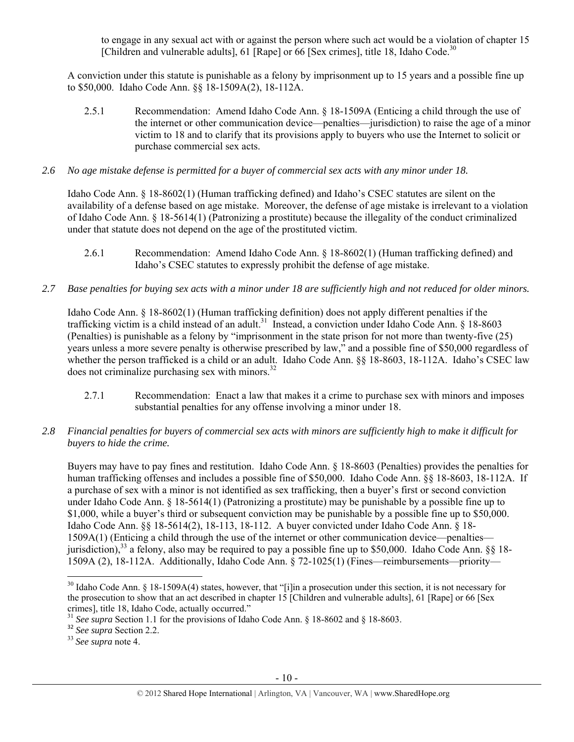to engage in any sexual act with or against the person where such act would be a violation of chapter 15 [Children and vulnerable adults], 61 [Rape] or  $66$  [Sex crimes], title 18, Idaho Code.<sup>30</sup>

A conviction under this statute is punishable as a felony by imprisonment up to 15 years and a possible fine up to \$50,000. Idaho Code Ann. §§ 18-1509A(2), 18-112A.

2.5.1 Recommendation: Amend Idaho Code Ann. § 18-1509A (Enticing a child through the use of the internet or other communication device—penalties—jurisdiction) to raise the age of a minor victim to 18 and to clarify that its provisions apply to buyers who use the Internet to solicit or purchase commercial sex acts.

## *2.6 No age mistake defense is permitted for a buyer of commercial sex acts with any minor under 18.*

Idaho Code Ann. § 18-8602(1) (Human trafficking defined) and Idaho's CSEC statutes are silent on the availability of a defense based on age mistake. Moreover, the defense of age mistake is irrelevant to a violation of Idaho Code Ann. § 18-5614(1) (Patronizing a prostitute) because the illegality of the conduct criminalized under that statute does not depend on the age of the prostituted victim.

- 2.6.1 Recommendation: Amend Idaho Code Ann. § 18-8602(1) (Human trafficking defined) and Idaho's CSEC statutes to expressly prohibit the defense of age mistake.
- *2.7 Base penalties for buying sex acts with a minor under 18 are sufficiently high and not reduced for older minors.*

Idaho Code Ann. § 18-8602(1) (Human trafficking definition) does not apply different penalties if the trafficking victim is a child instead of an adult.<sup>31</sup> Instead, a conviction under Idaho Code Ann.  $\frac{18}{8}$ -8603 (Penalties) is punishable as a felony by "imprisonment in the state prison for not more than twenty-five (25) years unless a more severe penalty is otherwise prescribed by law," and a possible fine of \$50,000 regardless of whether the person trafficked is a child or an adult. Idaho Code Ann.  $\S$ § 18-8603, 18-112A. Idaho's CSEC law does not criminalize purchasing sex with minors. $32$ 

- 2.7.1 Recommendation: Enact a law that makes it a crime to purchase sex with minors and imposes substantial penalties for any offense involving a minor under 18.
- *2.8 Financial penalties for buyers of commercial sex acts with minors are sufficiently high to make it difficult for buyers to hide the crime.*

Buyers may have to pay fines and restitution. Idaho Code Ann. § 18-8603 (Penalties) provides the penalties for human trafficking offenses and includes a possible fine of \$50,000. Idaho Code Ann. §§ 18-8603, 18-112A. If a purchase of sex with a minor is not identified as sex trafficking, then a buyer's first or second conviction under Idaho Code Ann. § 18-5614(1) (Patronizing a prostitute) may be punishable by a possible fine up to \$1,000, while a buyer's third or subsequent conviction may be punishable by a possible fine up to \$50,000. Idaho Code Ann. §§ 18-5614(2), 18-113, 18-112. A buyer convicted under Idaho Code Ann. § 18- 1509A(1) (Enticing a child through the use of the internet or other communication device—penalties jurisdiction),<sup>33</sup> a felony, also may be required to pay a possible fine up to \$50,000. Idaho Code Ann. §§ 18-1509A (2), 18-112A. Additionally, Idaho Code Ann. § 72-1025(1) (Fines—reimbursements—priority—

 <sup>30</sup> Idaho Code Ann. § 18-1509A(4) states, however, that "[i]in a prosecution under this section, it is not necessary for the prosecution to show that an act described in chapter 15 [Children and vulnerable adults], 61 [Rape] or 66 [Sex crimes], title 18, Idaho Code, actually occurred."

<sup>&</sup>lt;sup>31</sup> *See supra* Section 1.1 for the provisions of Idaho Code Ann. § 18-8602 and § 18-8603. See supra Section 2.2.

<sup>33</sup> *See supra* note 4.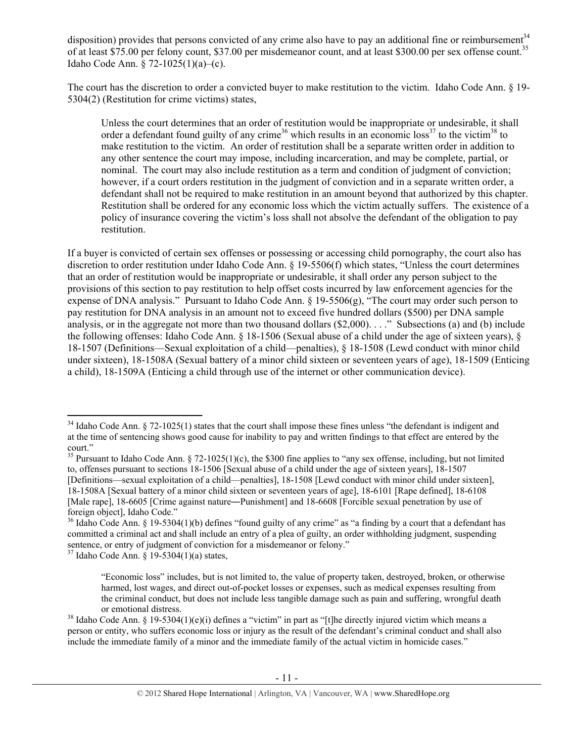disposition) provides that persons convicted of any crime also have to pay an additional fine or reimbursement<sup>34</sup> of at least \$75.00 per felony count, \$37.00 per misdemeanor count, and at least \$300.00 per sex offense count.<sup>35</sup> Idaho Code Ann. § 72-1025(1)(a)–(c).

The court has the discretion to order a convicted buyer to make restitution to the victim. Idaho Code Ann. § 19- 5304(2) (Restitution for crime victims) states,

Unless the court determines that an order of restitution would be inappropriate or undesirable, it shall order a defendant found guilty of any crime<sup>36</sup> which results in an economic loss<sup>37</sup> to the victim<sup>38</sup> to make restitution to the victim. An order of restitution shall be a separate written order in addition to any other sentence the court may impose, including incarceration, and may be complete, partial, or nominal. The court may also include restitution as a term and condition of judgment of conviction; however, if a court orders restitution in the judgment of conviction and in a separate written order, a defendant shall not be required to make restitution in an amount beyond that authorized by this chapter. Restitution shall be ordered for any economic loss which the victim actually suffers. The existence of a policy of insurance covering the victim's loss shall not absolve the defendant of the obligation to pay restitution.

If a buyer is convicted of certain sex offenses or possessing or accessing child pornography, the court also has discretion to order restitution under Idaho Code Ann. § 19-5506(f) which states, "Unless the court determines that an order of restitution would be inappropriate or undesirable, it shall order any person subject to the provisions of this section to pay restitution to help offset costs incurred by law enforcement agencies for the expense of DNA analysis." Pursuant to Idaho Code Ann. § 19-5506(g), "The court may order such person to pay restitution for DNA analysis in an amount not to exceed five hundred dollars (\$500) per DNA sample analysis, or in the aggregate not more than two thousand dollars (\$2,000). . . ." Subsections (a) and (b) include the following offenses: Idaho Code Ann. § 18-1506 (Sexual abuse of a child under the age of sixteen years), § 18-1507 (Definitions—Sexual exploitation of a child—penalties), § 18-1508 (Lewd conduct with minor child under sixteen), 18-1508A (Sexual battery of a minor child sixteen or seventeen years of age), 18-1509 (Enticing a child), 18-1509A (Enticing a child through use of the internet or other communication device).

 $34$  Idaho Code Ann. § 72-1025(1) states that the court shall impose these fines unless "the defendant is indigent and at the time of sentencing shows good cause for inability to pay and written findings to that effect are entered by the court."

<sup>&</sup>lt;sup>35</sup> Pursuant to Idaho Code Ann. § 72-1025(1)(c), the \$300 fine applies to "any sex offense, including, but not limited to, offenses pursuant to sections 18-1506 [Sexual abuse of a child under the age of sixteen years], 18-1507 [Definitions—sexual exploitation of a child—penalties], 18-1508 [Lewd conduct with minor child under sixteen], 18-1508A [Sexual battery of a minor child sixteen or seventeen years of age], 18-6101 [Rape defined], 18-6108 [Male rape], 18-6605 [Crime against nature—Punishment] and 18-6608 [Forcible sexual penetration by use of foreign object], Idaho Code."

<sup>&</sup>lt;sup>36</sup> Idaho Code Ann. § 19-5304(1)(b) defines "found guilty of any crime" as "a finding by a court that a defendant has committed a criminal act and shall include an entry of a plea of guilty, an order withholding judgment, suspending sentence, or entry of judgment of conviction for a misdemeanor or felony."

 $37$  Idaho Code Ann. § 19-5304(1)(a) states,

<sup>&</sup>quot;Economic loss" includes, but is not limited to, the value of property taken, destroyed, broken, or otherwise harmed, lost wages, and direct out-of-pocket losses or expenses, such as medical expenses resulting from the criminal conduct, but does not include less tangible damage such as pain and suffering, wrongful death or emotional distress.<br><sup>38</sup> Idaho Code Ann. § 19-5304(1)(e)(i) defines a "victim" in part as "[t]he directly injured victim which means a

person or entity, who suffers economic loss or injury as the result of the defendant's criminal conduct and shall also include the immediate family of a minor and the immediate family of the actual victim in homicide cases."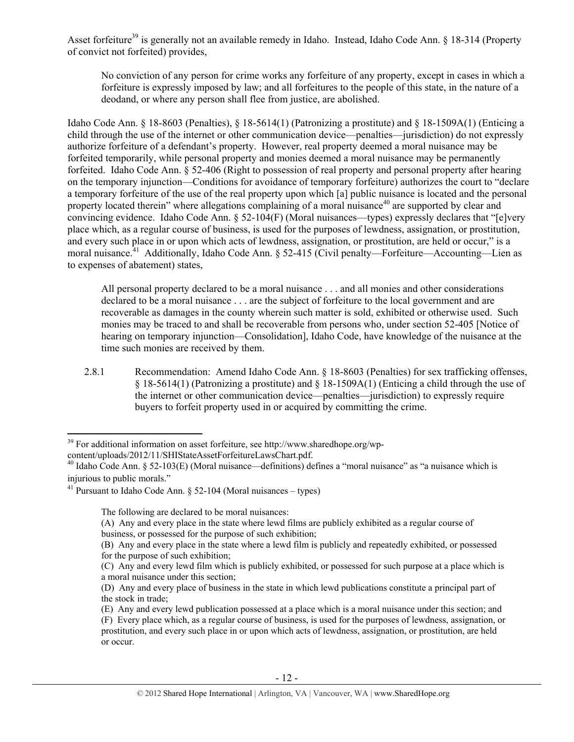Asset forfeiture<sup>39</sup> is generally not an available remedy in Idaho. Instead, Idaho Code Ann. § 18-314 (Property of convict not forfeited) provides,

No conviction of any person for crime works any forfeiture of any property, except in cases in which a forfeiture is expressly imposed by law; and all forfeitures to the people of this state, in the nature of a deodand, or where any person shall flee from justice, are abolished.

Idaho Code Ann. § 18-8603 (Penalties), § 18-5614(1) (Patronizing a prostitute) and § 18-1509A(1) (Enticing a child through the use of the internet or other communication device—penalties—jurisdiction) do not expressly authorize forfeiture of a defendant's property. However, real property deemed a moral nuisance may be forfeited temporarily, while personal property and monies deemed a moral nuisance may be permanently forfeited. Idaho Code Ann. § 52-406 (Right to possession of real property and personal property after hearing on the temporary injunction—Conditions for avoidance of temporary forfeiture) authorizes the court to "declare a temporary forfeiture of the use of the real property upon which [a] public nuisance is located and the personal property located therein" where allegations complaining of a moral nuisance<sup>40</sup> are supported by clear and convincing evidence. Idaho Code Ann. § 52-104(F) (Moral nuisances—types) expressly declares that "[e]very place which, as a regular course of business, is used for the purposes of lewdness, assignation, or prostitution, and every such place in or upon which acts of lewdness, assignation, or prostitution, are held or occur," is a moral nuisance.<sup>41</sup> Additionally, Idaho Code Ann. § 52-415 (Civil penalty—Forfeiture—Accounting—Lien as to expenses of abatement) states,

All personal property declared to be a moral nuisance . . . and all monies and other considerations declared to be a moral nuisance . . . are the subject of forfeiture to the local government and are recoverable as damages in the county wherein such matter is sold, exhibited or otherwise used. Such monies may be traced to and shall be recoverable from persons who, under section 52-405 [Notice of hearing on temporary injunction—Consolidation], Idaho Code, have knowledge of the nuisance at the time such monies are received by them.

2.8.1 Recommendation: Amend Idaho Code Ann. § 18-8603 (Penalties) for sex trafficking offenses,  $§$  18-5614(1) (Patronizing a prostitute) and  $§$  18-1509A(1) (Enticing a child through the use of the internet or other communication device—penalties—jurisdiction) to expressly require buyers to forfeit property used in or acquired by committing the crime.

 <sup>39</sup> For additional information on asset forfeiture, see http://www.sharedhope.org/wp-

content/uploads/2012/11/SHIStateAssetForfeitureLawsChart.pdf. 40 Idaho Code Ann. § 52-103(E) (Moral nuisance—definitions) defines a "moral nuisance" as "a nuisance which is injurious to public morals."

<sup>&</sup>lt;sup>41</sup> Pursuant to Idaho Code Ann. § 52-104 (Moral nuisances – types)

The following are declared to be moral nuisances:

<sup>(</sup>A) Any and every place in the state where lewd films are publicly exhibited as a regular course of business, or possessed for the purpose of such exhibition;

<sup>(</sup>B) Any and every place in the state where a lewd film is publicly and repeatedly exhibited, or possessed for the purpose of such exhibition;

<sup>(</sup>C) Any and every lewd film which is publicly exhibited, or possessed for such purpose at a place which is a moral nuisance under this section;

<sup>(</sup>D) Any and every place of business in the state in which lewd publications constitute a principal part of the stock in trade;

<sup>(</sup>E) Any and every lewd publication possessed at a place which is a moral nuisance under this section; and (F) Every place which, as a regular course of business, is used for the purposes of lewdness, assignation, or prostitution, and every such place in or upon which acts of lewdness, assignation, or prostitution, are held or occur.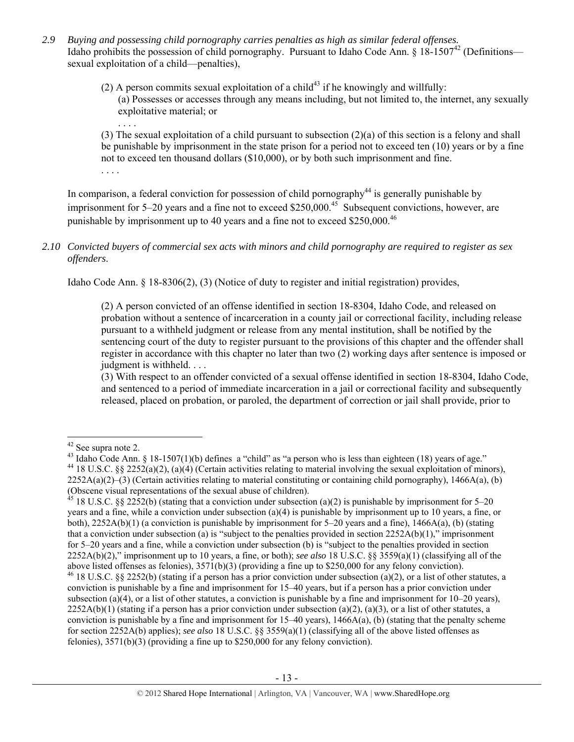- *2.9 Buying and possessing child pornography carries penalties as high as similar federal offenses.*  Idaho prohibits the possession of child pornography. Pursuant to Idaho Code Ann.  $\frac{18-1507^{42}}{P}$  (Definitions sexual exploitation of a child—penalties),
	- (2) A person commits sexual exploitation of a child<sup>43</sup> if he knowingly and willfully: (a) Possesses or accesses through any means including, but not limited to, the internet, any sexually exploitative material; or

. . . . (3) The sexual exploitation of a child pursuant to subsection (2)(a) of this section is a felony and shall be punishable by imprisonment in the state prison for a period not to exceed ten (10) years or by a fine not to exceed ten thousand dollars (\$10,000), or by both such imprisonment and fine. . . . .

In comparison, a federal conviction for possession of child pornography<sup>44</sup> is generally punishable by imprisonment for 5–20 years and a fine not to exceed \$250,000.<sup>45</sup> Subsequent convictions, however, are punishable by imprisonment up to 40 years and a fine not to exceed \$250,000.<sup>46</sup>

## *2.10 Convicted buyers of commercial sex acts with minors and child pornography are required to register as sex offenders*.

Idaho Code Ann. § 18-8306(2), (3) (Notice of duty to register and initial registration) provides,

(2) A person convicted of an offense identified in section 18-8304, Idaho Code, and released on probation without a sentence of incarceration in a county jail or correctional facility, including release pursuant to a withheld judgment or release from any mental institution, shall be notified by the sentencing court of the duty to register pursuant to the provisions of this chapter and the offender shall register in accordance with this chapter no later than two (2) working days after sentence is imposed or judgment is withheld. . . .

(3) With respect to an offender convicted of a sexual offense identified in section 18-8304, Idaho Code, and sentenced to a period of immediate incarceration in a jail or correctional facility and subsequently released, placed on probation, or paroled, the department of correction or jail shall provide, prior to

<sup>&</sup>lt;sup>42</sup> See supra note 2.<br><sup>43</sup> Idaho Code Ann. § 18-1507(1)(b) defines a "child" as "a person who is less than eighteen (18) years of age." <sup>44</sup> 18 U.S.C. §§ 2252(a)(2), (a)(4) (Certain activities relating to material involving the sexual exploitation of minors),  $2252A(a)(2)$ –(3) (Certain activities relating to material constituting or containing child pornography), 1466A(a), (b) (Obscene visual representations of the sexual abuse of children).

<sup>&</sup>lt;sup>45</sup> 18 U.S.C. §§ 2252(b) (stating that a conviction under subsection (a)(2) is punishable by imprisonment for 5–20 years and a fine, while a conviction under subsection (a)(4) is punishable by imprisonment up to 10 years, a fine, or both),  $2252A(b)(1)$  (a conviction is punishable by imprisonment for 5–20 years and a fine),  $1466A(a)$ , (b) (stating that a conviction under subsection (a) is "subject to the penalties provided in section  $2252A(b)(1)$ ," imprisonment for 5–20 years and a fine, while a conviction under subsection (b) is "subject to the penalties provided in section 2252A(b)(2)," imprisonment up to 10 years, a fine, or both); *see also* 18 U.S.C. §§ 3559(a)(1) (classifying all of the above listed offenses as felonies), 3571(b)(3) (providing a fine up to \$250,000 for any felony conviction). <sup>46</sup> 18 U.S.C. §§ 2252(b) (stating if a person has a prior conviction under subsection (a)(2), or a list of other statutes, a conviction is punishable by a fine and imprisonment for 15–40 years, but if a person has a prior conviction under subsection (a)(4), or a list of other statutes, a conviction is punishable by a fine and imprisonment for  $10-20$  years),  $2252A(b)(1)$  (stating if a person has a prior conviction under subsection (a)(2), (a)(3), or a list of other statutes, a

conviction is punishable by a fine and imprisonment for  $15-40$  years),  $1466A(a)$ , (b) (stating that the penalty scheme for section 2252A(b) applies); *see also* 18 U.S.C. §§ 3559(a)(1) (classifying all of the above listed offenses as felonies), 3571(b)(3) (providing a fine up to \$250,000 for any felony conviction).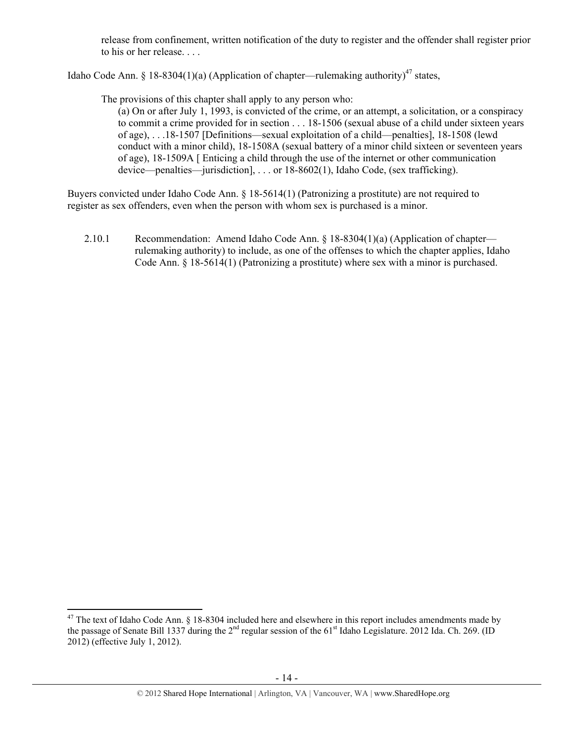release from confinement, written notification of the duty to register and the offender shall register prior to his or her release. . . .

Idaho Code Ann. § 18-8304(1)(a) (Application of chapter—rulemaking authority)<sup>47</sup> states,

The provisions of this chapter shall apply to any person who:

(a) On or after July 1, 1993, is convicted of the crime, or an attempt, a solicitation, or a conspiracy to commit a crime provided for in section . . . 18-1506 (sexual abuse of a child under sixteen years of age), . . .18-1507 [Definitions—sexual exploitation of a child—penalties], 18-1508 (lewd conduct with a minor child), 18-1508A (sexual battery of a minor child sixteen or seventeen years of age), 18-1509A [ Enticing a child through the use of the internet or other communication device—penalties—jurisdiction], . . . or 18-8602(1), Idaho Code, (sex trafficking).

Buyers convicted under Idaho Code Ann. § 18-5614(1) (Patronizing a prostitute) are not required to register as sex offenders, even when the person with whom sex is purchased is a minor.

2.10.1 Recommendation: Amend Idaho Code Ann. § 18-8304(1)(a) (Application of chapter rulemaking authority) to include, as one of the offenses to which the chapter applies, Idaho Code Ann. § 18-5614(1) (Patronizing a prostitute) where sex with a minor is purchased.

 $47$  The text of Idaho Code Ann. § 18-8304 included here and elsewhere in this report includes amendments made by the passage of Senate Bill 1337 during the  $2<sup>nd</sup>$  regular session of the 61<sup>st</sup> Idaho Legislature. 2012 Ida. Ch. 269. (ID 2012) (effective July 1, 2012).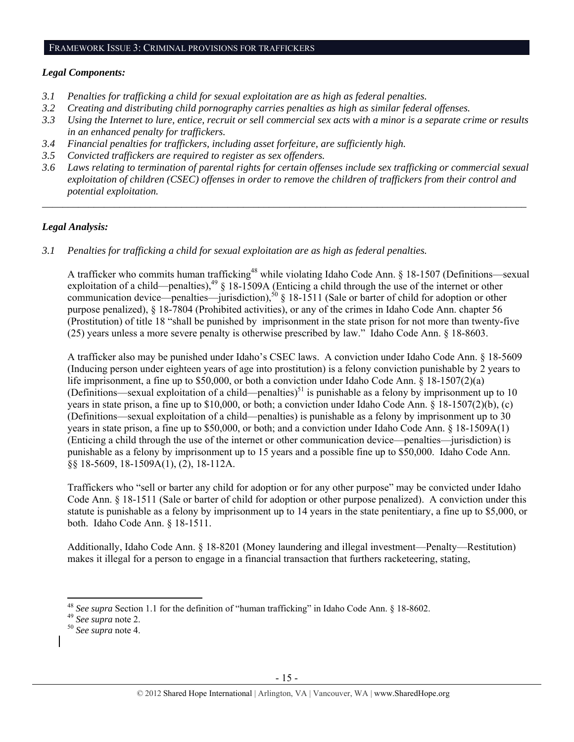#### FRAMEWORK ISSUE 3: CRIMINAL PROVISIONS FOR TRAFFICKERS

#### *Legal Components:*

- *3.1 Penalties for trafficking a child for sexual exploitation are as high as federal penalties.*
- *3.2 Creating and distributing child pornography carries penalties as high as similar federal offenses.*
- *3.3 Using the Internet to lure, entice, recruit or sell commercial sex acts with a minor is a separate crime or results in an enhanced penalty for traffickers.*
- *3.4 Financial penalties for traffickers, including asset forfeiture, are sufficiently high.*
- *3.5 Convicted traffickers are required to register as sex offenders.*
- *3.6 Laws relating to termination of parental rights for certain offenses include sex trafficking or commercial sexual exploitation of children (CSEC) offenses in order to remove the children of traffickers from their control and potential exploitation.*

*\_\_\_\_\_\_\_\_\_\_\_\_\_\_\_\_\_\_\_\_\_\_\_\_\_\_\_\_\_\_\_\_\_\_\_\_\_\_\_\_\_\_\_\_\_\_\_\_\_\_\_\_\_\_\_\_\_\_\_\_\_\_\_\_\_\_\_\_\_\_\_\_\_\_\_\_\_\_\_\_\_\_\_\_\_\_\_\_\_\_\_\_\_\_* 

# *Legal Analysis:*

*3.1 Penalties for trafficking a child for sexual exploitation are as high as federal penalties.* 

A trafficker who commits human trafficking<sup>48</sup> while violating Idaho Code Ann. § 18-1507 (Definitions—sexual exploitation of a child—penalties),<sup>49</sup> § 18-1509A (Enticing a child through the use of the internet or other communication device—penalties—jurisdiction),<sup>50</sup> § 18-1511 (Sale or barter of child for adoption or other purpose penalized), § 18-7804 (Prohibited activities), or any of the crimes in Idaho Code Ann. chapter 56 (Prostitution) of title 18 "shall be punished by imprisonment in the state prison for not more than twenty-five (25) years unless a more severe penalty is otherwise prescribed by law." Idaho Code Ann. § 18-8603.

A trafficker also may be punished under Idaho's CSEC laws. A conviction under Idaho Code Ann. § 18-5609 (Inducing person under eighteen years of age into prostitution) is a felony conviction punishable by 2 years to life imprisonment, a fine up to \$50,000, or both a conviction under Idaho Code Ann. § 18-1507(2)(a) (Definitions—sexual exploitation of a child—penalties)<sup>51</sup> is punishable as a felony by imprisonment up to 10 years in state prison, a fine up to \$10,000, or both; a conviction under Idaho Code Ann. § 18-1507(2)(b), (c) (Definitions—sexual exploitation of a child—penalties) is punishable as a felony by imprisonment up to 30 years in state prison, a fine up to \$50,000, or both; and a conviction under Idaho Code Ann. § 18-1509A(1) (Enticing a child through the use of the internet or other communication device—penalties—jurisdiction) is punishable as a felony by imprisonment up to 15 years and a possible fine up to \$50,000. Idaho Code Ann. §§ 18-5609, 18-1509A(1), (2), 18-112A.

Traffickers who "sell or barter any child for adoption or for any other purpose" may be convicted under Idaho Code Ann. § 18-1511 (Sale or barter of child for adoption or other purpose penalized). A conviction under this statute is punishable as a felony by imprisonment up to 14 years in the state penitentiary, a fine up to \$5,000, or both. Idaho Code Ann. § 18-1511.

Additionally, Idaho Code Ann. § 18-8201 (Money laundering and illegal investment—Penalty—Restitution) makes it illegal for a person to engage in a financial transaction that furthers racketeering, stating,

<sup>48</sup> *See supra* Section 1.1 for the definition of "human trafficking" in Idaho Code Ann. § 18-8602. 49 *See supra* note 2. <sup>50</sup> *See supra* note 4.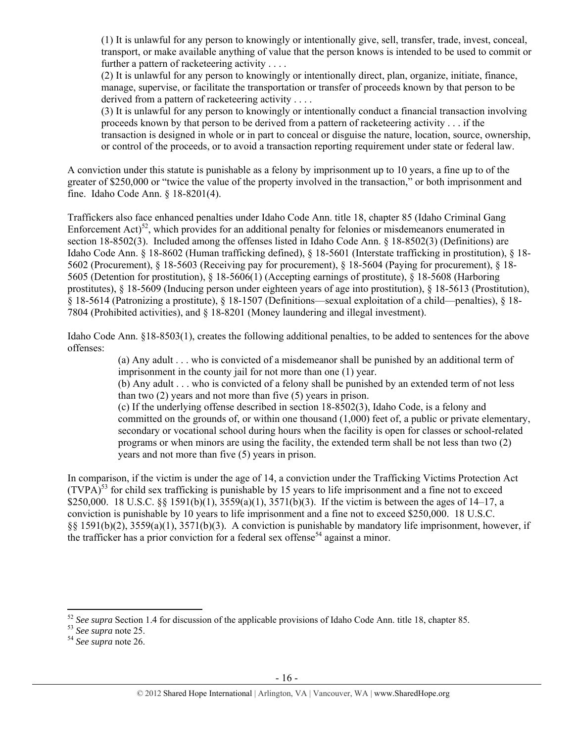(1) It is unlawful for any person to knowingly or intentionally give, sell, transfer, trade, invest, conceal, transport, or make available anything of value that the person knows is intended to be used to commit or further a pattern of racketeering activity . . . .

(2) It is unlawful for any person to knowingly or intentionally direct, plan, organize, initiate, finance, manage, supervise, or facilitate the transportation or transfer of proceeds known by that person to be derived from a pattern of racketeering activity . . . .

(3) It is unlawful for any person to knowingly or intentionally conduct a financial transaction involving proceeds known by that person to be derived from a pattern of racketeering activity . . . if the transaction is designed in whole or in part to conceal or disguise the nature, location, source, ownership, or control of the proceeds, or to avoid a transaction reporting requirement under state or federal law.

A conviction under this statute is punishable as a felony by imprisonment up to 10 years, a fine up to of the greater of \$250,000 or "twice the value of the property involved in the transaction," or both imprisonment and fine. Idaho Code Ann. § 18-8201(4).

Traffickers also face enhanced penalties under Idaho Code Ann. title 18, chapter 85 (Idaho Criminal Gang Enforcement  $Act)$ <sup>52</sup>, which provides for an additional penalty for felonies or misdemeanors enumerated in section 18-8502(3). Included among the offenses listed in Idaho Code Ann. § 18-8502(3) (Definitions) are Idaho Code Ann. § 18-8602 (Human trafficking defined), § 18-5601 (Interstate trafficking in prostitution), § 18- 5602 (Procurement), § 18-5603 (Receiving pay for procurement), § 18-5604 (Paying for procurement), § 18- 5605 (Detention for prostitution), § 18-5606(1) (Accepting earnings of prostitute), § 18-5608 (Harboring prostitutes), § 18-5609 (Inducing person under eighteen years of age into prostitution), § 18-5613 (Prostitution), § 18-5614 (Patronizing a prostitute), § 18-1507 (Definitions—sexual exploitation of a child—penalties), § 18- 7804 (Prohibited activities), and § 18-8201 (Money laundering and illegal investment).

Idaho Code Ann. §18-8503(1), creates the following additional penalties, to be added to sentences for the above offenses:

> (a) Any adult . . . who is convicted of a misdemeanor shall be punished by an additional term of imprisonment in the county jail for not more than one (1) year.

> (b) Any adult . . . who is convicted of a felony shall be punished by an extended term of not less than two (2) years and not more than five (5) years in prison.

(c) If the underlying offense described in section 18-8502(3), Idaho Code, is a felony and committed on the grounds of, or within one thousand (1,000) feet of, a public or private elementary, secondary or vocational school during hours when the facility is open for classes or school-related programs or when minors are using the facility, the extended term shall be not less than two (2) years and not more than five (5) years in prison.

In comparison, if the victim is under the age of 14, a conviction under the Trafficking Victims Protection Act  $(TVPA)^{53}$  for child sex trafficking is punishable by 15 years to life imprisonment and a fine not to exceed \$250,000. 18 U.S.C. §§ 1591(b)(1), 3559(a)(1), 3571(b)(3). If the victim is between the ages of 14–17, a conviction is punishable by 10 years to life imprisonment and a fine not to exceed \$250,000. 18 U.S.C. §§ 1591(b)(2), 3559(a)(1), 3571(b)(3). A conviction is punishable by mandatory life imprisonment, however, if the trafficker has a prior conviction for a federal sex offense<sup>54</sup> against a minor.

<sup>52</sup> *See supra* Section 1.4 for discussion of the applicable provisions of Idaho Code Ann. title 18, chapter 85. 53 *See supra* note 25. 54 *See supra* note 26.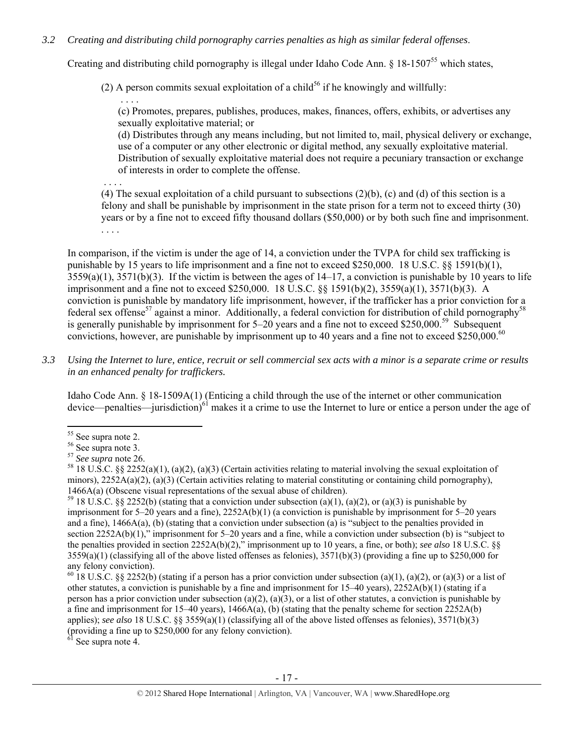## *3.2 Creating and distributing child pornography carries penalties as high as similar federal offenses*.

Creating and distributing child pornography is illegal under Idaho Code Ann. § 18-150755 which states,

(2) A person commits sexual exploitation of a child<sup>56</sup> if he knowingly and willfully:

(c) Promotes, prepares, publishes, produces, makes, finances, offers, exhibits, or advertises any sexually exploitative material; or

(d) Distributes through any means including, but not limited to, mail, physical delivery or exchange, use of a computer or any other electronic or digital method, any sexually exploitative material. Distribution of sexually exploitative material does not require a pecuniary transaction or exchange of interests in order to complete the offense.

 . . . . (4) The sexual exploitation of a child pursuant to subsections  $(2)(b)$ , (c) and (d) of this section is a felony and shall be punishable by imprisonment in the state prison for a term not to exceed thirty (30) years or by a fine not to exceed fifty thousand dollars (\$50,000) or by both such fine and imprisonment. . . . .

In comparison, if the victim is under the age of 14, a conviction under the TVPA for child sex trafficking is punishable by 15 years to life imprisonment and a fine not to exceed \$250,000. 18 U.S.C. §§ 1591(b)(1),  $3559(a)(1)$ ,  $3571(b)(3)$ . If the victim is between the ages of  $14-17$ , a conviction is punishable by 10 years to life imprisonment and a fine not to exceed \$250,000. 18 U.S.C. §§ 1591(b)(2), 3559(a)(1), 3571(b)(3). A conviction is punishable by mandatory life imprisonment, however, if the trafficker has a prior conviction for a federal sex offense<sup>57</sup> against a minor. Additionally, a federal conviction for distribution of child pornography<sup>58</sup> is generally punishable by imprisonment for  $5-20$  years and a fine not to exceed \$250,000.<sup>59</sup> Subsequent convictions, however, are punishable by imprisonment up to 40 years and a fine not to exceed \$250,000.<sup>60</sup>

*3.3 Using the Internet to lure, entice, recruit or sell commercial sex acts with a minor is a separate crime or results in an enhanced penalty for traffickers.* 

Idaho Code Ann. § 18-1509A(1) (Enticing a child through the use of the internet or other communication device—penalties—jurisdiction)<sup>61</sup> makes it a crime to use the Internet to lure or entice a person under the age of

. . . .

 $6\overline{1}$  See supra note 4.

<sup>&</sup>lt;sup>55</sup> See supra note 2.

 $56$  See supra note 3.<br> $57$  See supra note 26.

<sup>&</sup>lt;sup>58</sup> 18 U.S.C. §§ 2252(a)(1), (a)(2), (a)(3) (Certain activities relating to material involving the sexual exploitation of minors),  $2252A(a)(2)$ ,  $(a)(3)$  (Certain activities relating to material constituting or containing child pornography), 1466A(a) (Obscene visual representations of the sexual abuse of children).<br><sup>59</sup> 18 U.S.C. §§ 2252(b) (stating that a conviction under subsection (a)(1), (a)(2), or (a)(3) is punishable by

imprisonment for 5–20 years and a fine), 2252A(b)(1) (a conviction is punishable by imprisonment for 5–20 years and a fine), 1466A(a), (b) (stating that a conviction under subsection (a) is "subject to the penalties provided in section 2252A(b)(1)," imprisonment for 5–20 years and a fine, while a conviction under subsection (b) is "subject to the penalties provided in section 2252A(b)(2)," imprisonment up to 10 years, a fine, or both); *see also* 18 U.S.C. §§  $3559(a)(1)$  (classifying all of the above listed offenses as felonies),  $3571(b)(3)$  (providing a fine up to \$250,000 for any felony conviction).

<sup>&</sup>lt;sup>60</sup> 18 U.S.C. §§ 2252(b) (stating if a person has a prior conviction under subsection (a)(1), (a)(2), or (a)(3) or a list of other statutes, a conviction is punishable by a fine and imprisonment for 15–40 years), 2252A(b)(1) (stating if a person has a prior conviction under subsection (a)(2), (a)(3), or a list of other statutes, a conviction is punishable by a fine and imprisonment for 15–40 years),  $1466A(a)$ , (b) (stating that the penalty scheme for section 2252A(b) applies); *see also* 18 U.S.C. §§ 3559(a)(1) (classifying all of the above listed offenses as felonies), 3571(b)(3) (providing a fine up to \$250,000 for any felony conviction).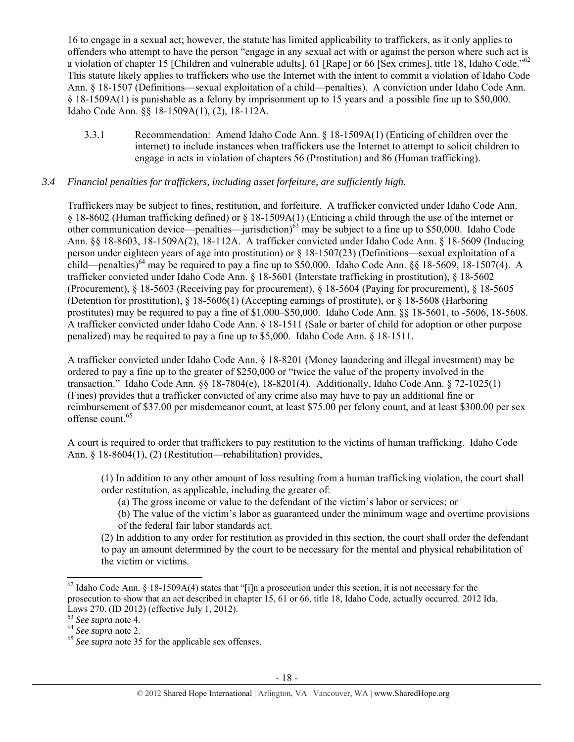16 to engage in a sexual act; however, the statute has limited applicability to traffickers, as it only applies to offenders who attempt to have the person "engage in any sexual act with or against the person where such act is a violation of chapter 15 [Children and vulnerable adults], 61 [Rape] or 66 [Sex crimes], title 18, Idaho Code."<sup>62</sup> This statute likely applies to traffickers who use the Internet with the intent to commit a violation of Idaho Code Ann. § 18-1507 (Definitions—sexual exploitation of a child—penalties). A conviction under Idaho Code Ann. § 18-1509A(1) is punishable as a felony by imprisonment up to 15 years and a possible fine up to \$50,000. Idaho Code Ann. §§ 18-1509A(1), (2), 18-112A.

3.3.1 Recommendation: Amend Idaho Code Ann. § 18-1509A(1) (Enticing of children over the internet) to include instances when traffickers use the Internet to attempt to solicit children to engage in acts in violation of chapters 56 (Prostitution) and 86 (Human trafficking).

## *3.4 Financial penalties for traffickers, including asset forfeiture, are sufficiently high*.

Traffickers may be subject to fines, restitution, and forfeiture. A trafficker convicted under Idaho Code Ann. § 18-8602 (Human trafficking defined) or § 18-1509A(1) (Enticing a child through the use of the internet or other communication device—penalties—jurisdiction)<sup>63</sup> may be subject to a fine up to \$50,000. Idaho Code Ann. §§ 18-8603, 18-1509A(2), 18-112A. A trafficker convicted under Idaho Code Ann. § 18-5609 (Inducing person under eighteen years of age into prostitution) or § 18-1507(23) (Definitions—sexual exploitation of a child—penalties)<sup>64</sup> may be required to pay a fine up to \$50,000. Idaho Code Ann. §§ 18-5609, 18-1507(4). A trafficker convicted under Idaho Code Ann. § 18-5601 (Interstate trafficking in prostitution), § 18-5602 (Procurement), § 18-5603 (Receiving pay for procurement), § 18-5604 (Paying for procurement), § 18-5605 (Detention for prostitution), § 18-5606(1) (Accepting earnings of prostitute), or § 18-5608 (Harboring prostitutes) may be required to pay a fine of \$1,000–\$50,000. Idaho Code Ann. §§ 18-5601, to -5606, 18-5608. A trafficker convicted under Idaho Code Ann. § 18-1511 (Sale or barter of child for adoption or other purpose penalized) may be required to pay a fine up to \$5,000. Idaho Code Ann. § 18-1511.

A trafficker convicted under Idaho Code Ann. § 18-8201 (Money laundering and illegal investment) may be ordered to pay a fine up to the greater of \$250,000 or "twice the value of the property involved in the transaction." Idaho Code Ann. §§ 18-7804(e), 18-8201(4). Additionally, Idaho Code Ann. § 72-1025(1) (Fines) provides that a trafficker convicted of any crime also may have to pay an additional fine or reimbursement of \$37.00 per misdemeanor count, at least \$75.00 per felony count, and at least \$300.00 per sex offense count.<sup>65</sup>

A court is required to order that traffickers to pay restitution to the victims of human trafficking. Idaho Code Ann. § 18-8604(1), (2) (Restitution—rehabilitation) provides,

(1) In addition to any other amount of loss resulting from a human trafficking violation, the court shall order restitution, as applicable, including the greater of:

- (a) The gross income or value to the defendant of the victim's labor or services; or
- (b) The value of the victim's labor as guaranteed under the minimum wage and overtime provisions of the federal fair labor standards act.

(2) In addition to any order for restitution as provided in this section, the court shall order the defendant to pay an amount determined by the court to be necessary for the mental and physical rehabilitation of the victim or victims.

 $62$  Idaho Code Ann. § 18-1509A(4) states that "[i]n a prosecution under this section, it is not necessary for the prosecution to show that an act described in chapter 15, 61 or 66, title 18, Idaho Code, actually occurred. 2012 Ida. Laws 270. (ID 2012) (effective July 1, 2012).<br><sup>63</sup> See supra note 4.

<sup>&</sup>lt;sup>64</sup> See supra note 2.<br><sup>65</sup> See supra note 35 for the applicable sex offenses.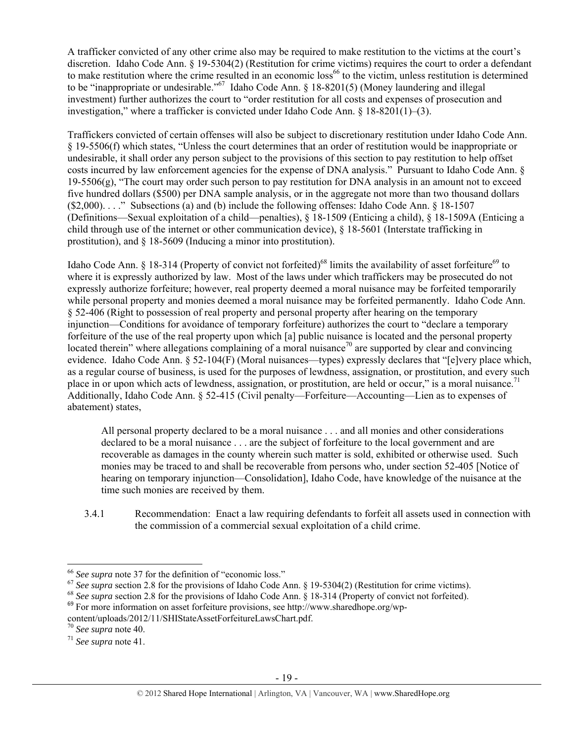A trafficker convicted of any other crime also may be required to make restitution to the victims at the court's discretion. Idaho Code Ann. § 19-5304(2) (Restitution for crime victims) requires the court to order a defendant to make restitution where the crime resulted in an economic loss<sup>66</sup> to the victim, unless restitution is determined to be "inappropriate or undesirable."67 Idaho Code Ann. § 18-8201(5) (Money laundering and illegal investment) further authorizes the court to "order restitution for all costs and expenses of prosecution and investigation," where a trafficker is convicted under Idaho Code Ann.  $\S 18-8201(1)-(3)$ .

Traffickers convicted of certain offenses will also be subject to discretionary restitution under Idaho Code Ann. § 19-5506(f) which states, "Unless the court determines that an order of restitution would be inappropriate or undesirable, it shall order any person subject to the provisions of this section to pay restitution to help offset costs incurred by law enforcement agencies for the expense of DNA analysis." Pursuant to Idaho Code Ann. § 19-5506(g), "The court may order such person to pay restitution for DNA analysis in an amount not to exceed five hundred dollars (\$500) per DNA sample analysis, or in the aggregate not more than two thousand dollars (\$2,000). . . ." Subsections (a) and (b) include the following offenses: Idaho Code Ann. § 18-1507 (Definitions—Sexual exploitation of a child—penalties), § 18-1509 (Enticing a child), § 18-1509A (Enticing a child through use of the internet or other communication device), § 18-5601 (Interstate trafficking in prostitution), and § 18-5609 (Inducing a minor into prostitution).

Idaho Code Ann. § 18-314 (Property of convict not forfeited)<sup>68</sup> limits the availability of asset forfeiture<sup>69</sup> to where it is expressly authorized by law. Most of the laws under which traffickers may be prosecuted do not expressly authorize forfeiture; however, real property deemed a moral nuisance may be forfeited temporarily while personal property and monies deemed a moral nuisance may be forfeited permanently. Idaho Code Ann. § 52-406 (Right to possession of real property and personal property after hearing on the temporary injunction—Conditions for avoidance of temporary forfeiture) authorizes the court to "declare a temporary forfeiture of the use of the real property upon which [a] public nuisance is located and the personal property located therein" where allegations complaining of a moral nuisance<sup>70</sup> are supported by clear and convincing evidence. Idaho Code Ann. § 52-104(F) (Moral nuisances—types) expressly declares that "[e]very place which, as a regular course of business, is used for the purposes of lewdness, assignation, or prostitution, and every such place in or upon which acts of lewdness, assignation, or prostitution, are held or occur," is a moral nuisance.<sup>71</sup> Additionally, Idaho Code Ann. § 52-415 (Civil penalty—Forfeiture—Accounting—Lien as to expenses of abatement) states,

All personal property declared to be a moral nuisance . . . and all monies and other considerations declared to be a moral nuisance . . . are the subject of forfeiture to the local government and are recoverable as damages in the county wherein such matter is sold, exhibited or otherwise used. Such monies may be traced to and shall be recoverable from persons who, under section 52-405 [Notice of hearing on temporary injunction—Consolidation], Idaho Code, have knowledge of the nuisance at the time such monies are received by them.

3.4.1 Recommendation: Enact a law requiring defendants to forfeit all assets used in connection with the commission of a commercial sexual exploitation of a child crime.

<sup>&</sup>lt;sup>66</sup> See supra note 37 for the definition of "economic loss."

<sup>&</sup>lt;sup>67</sup> See supra section 2.8 for the provisions of Idaho Code Ann. § 19-5304(2) (Restitution for crime victims).<br><sup>68</sup> See supra section 2.8 for the provisions of Idaho Code Ann. § 18-314 (Property of convict not forfeited).

content/uploads/2012/11/SHIStateAssetForfeitureLawsChart.pdf. <sup>70</sup> *See supra* note 40. 71 *See supra* note 41.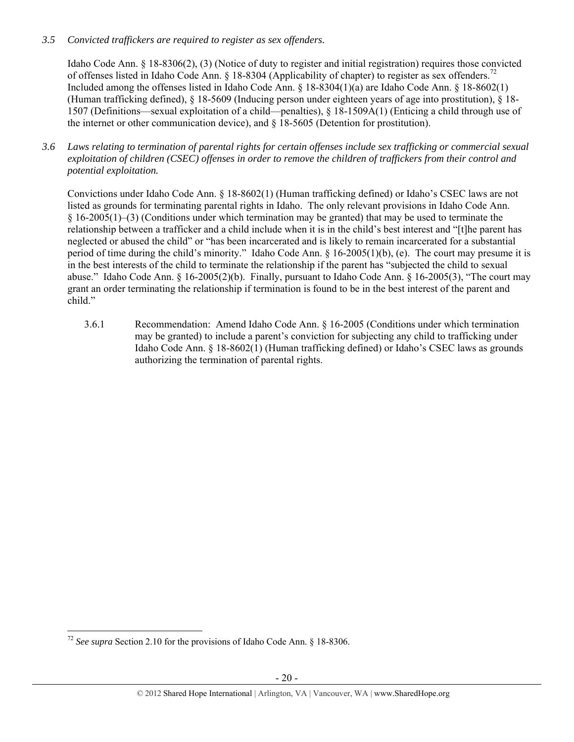# *3.5 Convicted traffickers are required to register as sex offenders.*

Idaho Code Ann. § 18-8306(2), (3) (Notice of duty to register and initial registration) requires those convicted of offenses listed in Idaho Code Ann.  $\S$  18-8304 (Applicability of chapter) to register as sex offenders.<sup>72</sup> Included among the offenses listed in Idaho Code Ann. § 18-8304(1)(a) are Idaho Code Ann. § 18-8602(1) (Human trafficking defined), § 18-5609 (Inducing person under eighteen years of age into prostitution), § 18- 1507 (Definitions—sexual exploitation of a child—penalties), § 18-1509A(1) (Enticing a child through use of the internet or other communication device), and § 18-5605 (Detention for prostitution).

*3.6 Laws relating to termination of parental rights for certain offenses include sex trafficking or commercial sexual exploitation of children (CSEC) offenses in order to remove the children of traffickers from their control and potential exploitation.* 

Convictions under Idaho Code Ann. § 18-8602(1) (Human trafficking defined) or Idaho's CSEC laws are not listed as grounds for terminating parental rights in Idaho. The only relevant provisions in Idaho Code Ann. § 16-2005(1)–(3) (Conditions under which termination may be granted) that may be used to terminate the relationship between a trafficker and a child include when it is in the child's best interest and "[t]he parent has neglected or abused the child" or "has been incarcerated and is likely to remain incarcerated for a substantial period of time during the child's minority." Idaho Code Ann. § 16-2005(1)(b), (e). The court may presume it is in the best interests of the child to terminate the relationship if the parent has "subjected the child to sexual abuse." Idaho Code Ann. § 16-2005(2)(b). Finally, pursuant to Idaho Code Ann. § 16-2005(3), "The court may grant an order terminating the relationship if termination is found to be in the best interest of the parent and child."

3.6.1 Recommendation: Amend Idaho Code Ann. § 16-2005 (Conditions under which termination may be granted) to include a parent's conviction for subjecting any child to trafficking under Idaho Code Ann. § 18-8602(1) (Human trafficking defined) or Idaho's CSEC laws as grounds authorizing the termination of parental rights.

 <sup>72</sup> *See supra* Section 2.10 for the provisions of Idaho Code Ann. § 18-8306.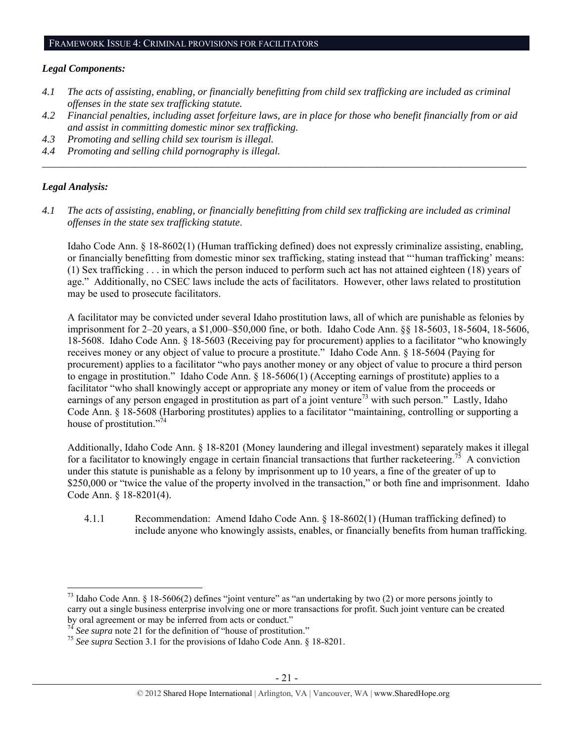#### *Legal Components:*

- *4.1 The acts of assisting, enabling, or financially benefitting from child sex trafficking are included as criminal offenses in the state sex trafficking statute.*
- *4.2 Financial penalties, including asset forfeiture laws, are in place for those who benefit financially from or aid and assist in committing domestic minor sex trafficking.*

*\_\_\_\_\_\_\_\_\_\_\_\_\_\_\_\_\_\_\_\_\_\_\_\_\_\_\_\_\_\_\_\_\_\_\_\_\_\_\_\_\_\_\_\_\_\_\_\_\_\_\_\_\_\_\_\_\_\_\_\_\_\_\_\_\_\_\_\_\_\_\_\_\_\_\_\_\_\_\_\_\_\_\_\_\_\_\_\_\_\_\_\_\_\_* 

- *4.3 Promoting and selling child sex tourism is illegal.*
- *4.4 Promoting and selling child pornography is illegal.*

#### *Legal Analysis:*

*4.1 The acts of assisting, enabling, or financially benefitting from child sex trafficking are included as criminal offenses in the state sex trafficking statute*.

Idaho Code Ann. § 18-8602(1) (Human trafficking defined) does not expressly criminalize assisting, enabling, or financially benefitting from domestic minor sex trafficking, stating instead that "'human trafficking' means: (1) Sex trafficking . . . in which the person induced to perform such act has not attained eighteen (18) years of age." Additionally, no CSEC laws include the acts of facilitators. However, other laws related to prostitution may be used to prosecute facilitators.

A facilitator may be convicted under several Idaho prostitution laws, all of which are punishable as felonies by imprisonment for 2–20 years, a \$1,000–\$50,000 fine, or both. Idaho Code Ann. §§ 18-5603, 18-5604, 18-5606, 18-5608. Idaho Code Ann. § 18-5603 (Receiving pay for procurement) applies to a facilitator "who knowingly receives money or any object of value to procure a prostitute." Idaho Code Ann. § 18-5604 (Paying for procurement) applies to a facilitator "who pays another money or any object of value to procure a third person to engage in prostitution." Idaho Code Ann. § 18-5606(1) (Accepting earnings of prostitute) applies to a facilitator "who shall knowingly accept or appropriate any money or item of value from the proceeds or earnings of any person engaged in prostitution as part of a joint venture<sup>73</sup> with such person.<sup>"</sup> Lastly, Idaho Code Ann. § 18-5608 (Harboring prostitutes) applies to a facilitator "maintaining, controlling or supporting a house of prostitution." $\frac{1}{74}$ 

Additionally, Idaho Code Ann. § 18-8201 (Money laundering and illegal investment) separately makes it illegal for a facilitator to knowingly engage in certain financial transactions that further racketeering.<sup>75</sup> A conviction under this statute is punishable as a felony by imprisonment up to 10 years, a fine of the greater of up to \$250,000 or "twice the value of the property involved in the transaction," or both fine and imprisonment. Idaho Code Ann. § 18-8201(4).

4.1.1 Recommendation: Amend Idaho Code Ann. § 18-8602(1) (Human trafficking defined) to include anyone who knowingly assists, enables, or financially benefits from human trafficking.

<sup>&</sup>lt;sup>73</sup> Idaho Code Ann. § 18-5606(2) defines "joint venture" as "an undertaking by two (2) or more persons jointly to carry out a single business enterprise involving one or more transactions for profit. Such joint venture can be created by oral agreement or may be inferred from acts or conduct."<br><sup>74</sup> See supra note 21 for the definition of "house of prostitution."

<sup>&</sup>lt;sup>75</sup> See supra Section 3.1 for the provisions of Idaho Code Ann. § 18-8201.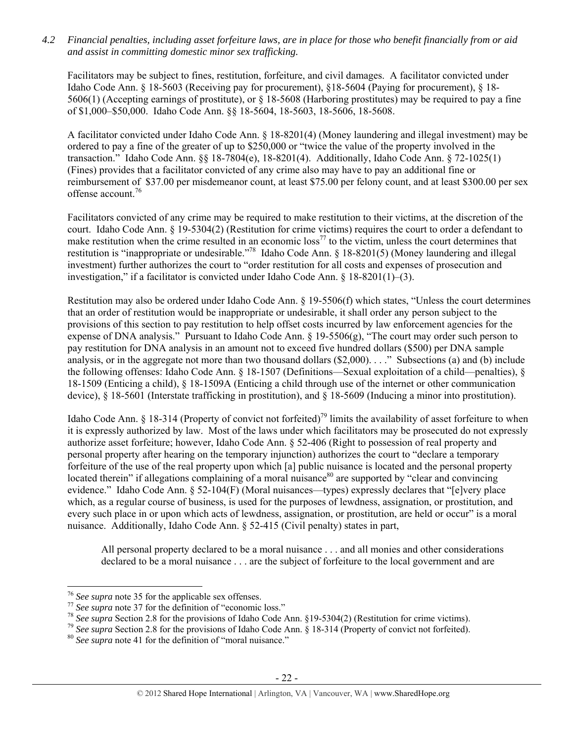*4.2 Financial penalties, including asset forfeiture laws, are in place for those who benefit financially from or aid and assist in committing domestic minor sex trafficking.* 

Facilitators may be subject to fines, restitution, forfeiture, and civil damages. A facilitator convicted under Idaho Code Ann. § 18-5603 (Receiving pay for procurement), §18-5604 (Paying for procurement), § 18- 5606(1) (Accepting earnings of prostitute), or § 18-5608 (Harboring prostitutes) may be required to pay a fine of \$1,000–\$50,000. Idaho Code Ann. §§ 18-5604, 18-5603, 18-5606, 18-5608.

A facilitator convicted under Idaho Code Ann. § 18-8201(4) (Money laundering and illegal investment) may be ordered to pay a fine of the greater of up to \$250,000 or "twice the value of the property involved in the transaction." Idaho Code Ann. §§ 18-7804(e), 18-8201(4). Additionally, Idaho Code Ann. § 72-1025(1) (Fines) provides that a facilitator convicted of any crime also may have to pay an additional fine or reimbursement of \$37.00 per misdemeanor count, at least \$75.00 per felony count, and at least \$300.00 per sex offense account.<sup>76</sup>

Facilitators convicted of any crime may be required to make restitution to their victims, at the discretion of the court. Idaho Code Ann. § 19-5304(2) (Restitution for crime victims) requires the court to order a defendant to make restitution when the crime resulted in an economic  $loss<sup>77</sup>$  to the victim, unless the court determines that restitution is "inappropriate or undesirable."78 Idaho Code Ann. § 18-8201(5) (Money laundering and illegal investment) further authorizes the court to "order restitution for all costs and expenses of prosecution and investigation," if a facilitator is convicted under Idaho Code Ann.  $\S$  18-8201(1)–(3).

Restitution may also be ordered under Idaho Code Ann. § 19-5506(f) which states, "Unless the court determines that an order of restitution would be inappropriate or undesirable, it shall order any person subject to the provisions of this section to pay restitution to help offset costs incurred by law enforcement agencies for the expense of DNA analysis." Pursuant to Idaho Code Ann. § 19-5506(g), "The court may order such person to pay restitution for DNA analysis in an amount not to exceed five hundred dollars (\$500) per DNA sample analysis, or in the aggregate not more than two thousand dollars (\$2,000). . . ." Subsections (a) and (b) include the following offenses: Idaho Code Ann. § 18-1507 (Definitions—Sexual exploitation of a child—penalties), § 18-1509 (Enticing a child), § 18-1509A (Enticing a child through use of the internet or other communication device), § 18-5601 (Interstate trafficking in prostitution), and § 18-5609 (Inducing a minor into prostitution).

Idaho Code Ann. § 18-314 (Property of convict not forfeited)<sup>79</sup> limits the availability of asset forfeiture to when it is expressly authorized by law. Most of the laws under which facilitators may be prosecuted do not expressly authorize asset forfeiture; however, Idaho Code Ann. § 52-406 (Right to possession of real property and personal property after hearing on the temporary injunction) authorizes the court to "declare a temporary forfeiture of the use of the real property upon which [a] public nuisance is located and the personal property located therein" if allegations complaining of a moral nuisance<sup>80</sup> are supported by "clear and convincing evidence." Idaho Code Ann. § 52-104(F) (Moral nuisances—types) expressly declares that "[e]very place which, as a regular course of business, is used for the purposes of lewdness, assignation, or prostitution, and every such place in or upon which acts of lewdness, assignation, or prostitution, are held or occur" is a moral nuisance. Additionally, Idaho Code Ann. § 52-415 (Civil penalty) states in part,

All personal property declared to be a moral nuisance . . . and all monies and other considerations declared to be a moral nuisance . . . are the subject of forfeiture to the local government and are

<sup>&</sup>lt;sup>76</sup> See supra note 35 for the applicable sex offenses.<br><sup>77</sup> See supra note 37 for the definition of "economic loss."<br><sup>78</sup> See supra Section 2.8 for the provisions of Idaho Code Ann. §19-5304(2) (Restitution for crime vic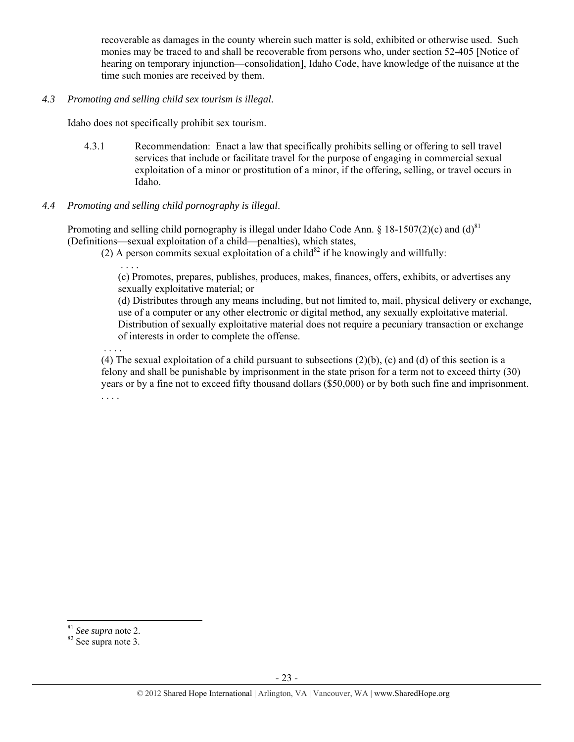recoverable as damages in the county wherein such matter is sold, exhibited or otherwise used. Such monies may be traced to and shall be recoverable from persons who, under section 52-405 [Notice of hearing on temporary injunction—consolidation], Idaho Code, have knowledge of the nuisance at the time such monies are received by them.

#### *4.3 Promoting and selling child sex tourism is illegal*.

Idaho does not specifically prohibit sex tourism.

4.3.1 Recommendation: Enact a law that specifically prohibits selling or offering to sell travel services that include or facilitate travel for the purpose of engaging in commercial sexual exploitation of a minor or prostitution of a minor, if the offering, selling, or travel occurs in Idaho.

## *4.4 Promoting and selling child pornography is illegal*.

Promoting and selling child pornography is illegal under Idaho Code Ann.  $\S$  18-1507(2)(c) and (d)<sup>81</sup> (Definitions—sexual exploitation of a child—penalties), which states,

(2) A person commits sexual exploitation of a child<sup>82</sup> if he knowingly and willfully:

 . . . . (c) Promotes, prepares, publishes, produces, makes, finances, offers, exhibits, or advertises any sexually exploitative material; or

(d) Distributes through any means including, but not limited to, mail, physical delivery or exchange, use of a computer or any other electronic or digital method, any sexually exploitative material. Distribution of sexually exploitative material does not require a pecuniary transaction or exchange of interests in order to complete the offense.

. . . .

(4) The sexual exploitation of a child pursuant to subsections (2)(b), (c) and (d) of this section is a felony and shall be punishable by imprisonment in the state prison for a term not to exceed thirty (30) years or by a fine not to exceed fifty thousand dollars (\$50,000) or by both such fine and imprisonment. . . . .

<sup>&</sup>lt;sup>81</sup> *See supra* note 2.<br><sup>82</sup> See supra note 3.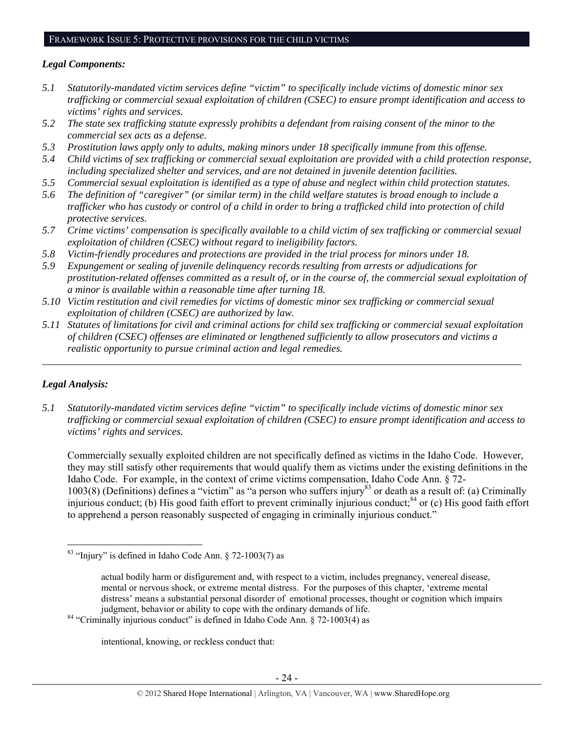#### FRAMEWORK ISSUE 5: PROTECTIVE PROVISIONS FOR THE CHILD VICTIMS

## *Legal Components:*

- *5.1 Statutorily-mandated victim services define "victim" to specifically include victims of domestic minor sex trafficking or commercial sexual exploitation of children (CSEC) to ensure prompt identification and access to victims' rights and services.*
- *5.2 The state sex trafficking statute expressly prohibits a defendant from raising consent of the minor to the commercial sex acts as a defense.*
- *5.3 Prostitution laws apply only to adults, making minors under 18 specifically immune from this offense.*
- *5.4 Child victims of sex trafficking or commercial sexual exploitation are provided with a child protection response, including specialized shelter and services, and are not detained in juvenile detention facilities.*
- *5.5 Commercial sexual exploitation is identified as a type of abuse and neglect within child protection statutes.*
- *5.6 The definition of "caregiver" (or similar term) in the child welfare statutes is broad enough to include a trafficker who has custody or control of a child in order to bring a trafficked child into protection of child protective services.*
- *5.7 Crime victims' compensation is specifically available to a child victim of sex trafficking or commercial sexual exploitation of children (CSEC) without regard to ineligibility factors.*
- *5.8 Victim-friendly procedures and protections are provided in the trial process for minors under 18.*
- *5.9 Expungement or sealing of juvenile delinquency records resulting from arrests or adjudications for prostitution-related offenses committed as a result of, or in the course of, the commercial sexual exploitation of a minor is available within a reasonable time after turning 18.*
- *5.10 Victim restitution and civil remedies for victims of domestic minor sex trafficking or commercial sexual exploitation of children (CSEC) are authorized by law.*
- *5.11 Statutes of limitations for civil and criminal actions for child sex trafficking or commercial sexual exploitation of children (CSEC) offenses are eliminated or lengthened sufficiently to allow prosecutors and victims a realistic opportunity to pursue criminal action and legal remedies.*

*\_\_\_\_\_\_\_\_\_\_\_\_\_\_\_\_\_\_\_\_\_\_\_\_\_\_\_\_\_\_\_\_\_\_\_\_\_\_\_\_\_\_\_\_\_\_\_\_\_\_\_\_\_\_\_\_\_\_\_\_\_\_\_\_\_\_\_\_\_\_\_\_\_\_\_\_\_\_\_\_\_\_\_\_\_\_\_\_\_\_\_\_\_* 

# *Legal Analysis:*

*5.1 Statutorily-mandated victim services define "victim" to specifically include victims of domestic minor sex trafficking or commercial sexual exploitation of children (CSEC) to ensure prompt identification and access to victims' rights and services.* 

Commercially sexually exploited children are not specifically defined as victims in the Idaho Code. However, they may still satisfy other requirements that would qualify them as victims under the existing definitions in the Idaho Code. For example, in the context of crime victims compensation, Idaho Code Ann. § 72- 1003(8) (Definitions) defines a "victim" as "a person who suffers injury<sup>83</sup> or death as a result of: (a) Criminally injurious conduct; (b) His good faith effort to prevent criminally injurious conduct;<sup>84</sup> or (c) His good faith effort to apprehend a person reasonably suspected of engaging in criminally injurious conduct."

intentional, knowing, or reckless conduct that:

 $83$  "Injury" is defined in Idaho Code Ann. § 72-1003(7) as

actual bodily harm or disfigurement and, with respect to a victim, includes pregnancy, venereal disease, mental or nervous shock, or extreme mental distress. For the purposes of this chapter, 'extreme mental distress' means a substantial personal disorder of emotional processes, thought or cognition which impairs

judgment, behavior or ability to cope with the ordinary demands of life. 84 "Criminally injurious conduct" is defined in Idaho Code Ann. § 72-1003(4) as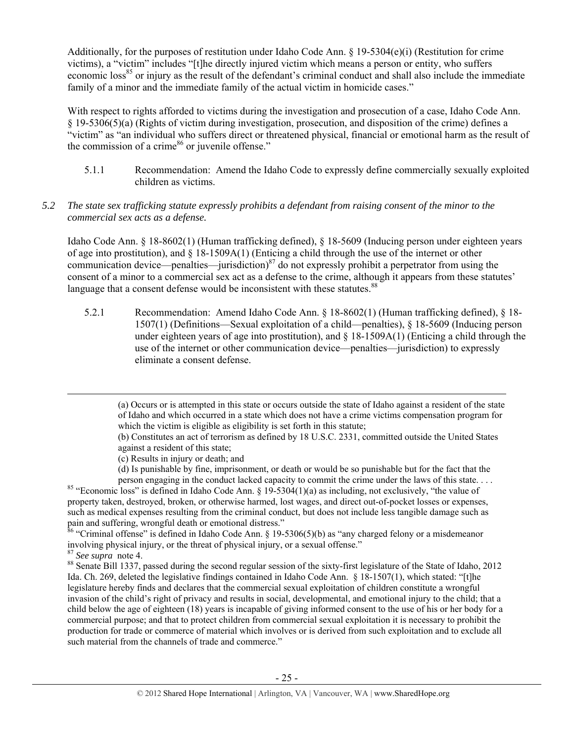Additionally, for the purposes of restitution under Idaho Code Ann. § 19-5304(e)(i) (Restitution for crime victims), a "victim" includes "[t]he directly injured victim which means a person or entity, who suffers economic loss<sup>85</sup> or injury as the result of the defendant's criminal conduct and shall also include the immediate family of a minor and the immediate family of the actual victim in homicide cases."

With respect to rights afforded to victims during the investigation and prosecution of a case, Idaho Code Ann. § 19-5306(5)(a) (Rights of victim during investigation, prosecution, and disposition of the crime) defines a "victim" as "an individual who suffers direct or threatened physical, financial or emotional harm as the result of the commission of a crime $^{86}$  or juvenile offense."

5.1.1 Recommendation: Amend the Idaho Code to expressly define commercially sexually exploited children as victims.

## *5.2 The state sex trafficking statute expressly prohibits a defendant from raising consent of the minor to the commercial sex acts as a defense.*

Idaho Code Ann. § 18-8602(1) (Human trafficking defined), § 18-5609 (Inducing person under eighteen years of age into prostitution), and § 18-1509A(1) (Enticing a child through the use of the internet or other communication device—penalties—jurisdiction) $^{87}$  do not expressly prohibit a perpetrator from using the consent of a minor to a commercial sex act as a defense to the crime, although it appears from these statutes' language that a consent defense would be inconsistent with these statutes.<sup>88</sup>

5.2.1 Recommendation: Amend Idaho Code Ann. § 18-8602(1) (Human trafficking defined), § 18- 1507(1) (Definitions—Sexual exploitation of a child—penalties), § 18-5609 (Inducing person under eighteen years of age into prostitution), and  $\S$  18-1509A(1) (Enticing a child through the use of the internet or other communication device—penalties—jurisdiction) to expressly eliminate a consent defense.

<u> Andrewski politika (za obrazu pod predsjednika u predsjednika u predsjednika u predsjednika (za obrazu pod p</u>

- (c) Results in injury or death; and
- (d) Is punishable by fine, imprisonment, or death or would be so punishable but for the fact that the

person engaging in the conduct lacked capacity to commit the crime under the laws of this state. . . . . 85 "Economic loss" is defined in Idaho Code Ann. § 19-5304(1)(a) as including, not exclusively, "the value of property taken, destroyed, broken, or otherwise harmed, lost wages, and direct out-of-pocket losses or expenses, such as medical expenses resulting from the criminal conduct, but does not include less tangible damage such as pain and suffering, wrongful death or emotional distress."

<sup>86</sup> "Criminal offense" is defined in Idaho Code Ann. § 19-5306(5)(b) as "any charged felony or a misdemeanor involving physical injury, or the threat of physical injury, or a sexual offense."<br><sup>87</sup> See supra note 4.

<sup>88</sup> Senate Bill 1337, passed during the second regular session of the sixty-first legislature of the State of Idaho, 2012 Ida. Ch. 269, deleted the legislative findings contained in Idaho Code Ann. § 18-1507(1), which stated: "[t]he legislature hereby finds and declares that the commercial sexual exploitation of children constitute a wrongful invasion of the child's right of privacy and results in social, developmental, and emotional injury to the child; that a child below the age of eighteen (18) years is incapable of giving informed consent to the use of his or her body for a commercial purpose; and that to protect children from commercial sexual exploitation it is necessary to prohibit the production for trade or commerce of material which involves or is derived from such exploitation and to exclude all such material from the channels of trade and commerce."

<sup>(</sup>a) Occurs or is attempted in this state or occurs outside the state of Idaho against a resident of the state of Idaho and which occurred in a state which does not have a crime victims compensation program for which the victim is eligible as eligibility is set forth in this statute;

<sup>(</sup>b) Constitutes an act of terrorism as defined by 18 U.S.C. 2331, committed outside the United States against a resident of this state;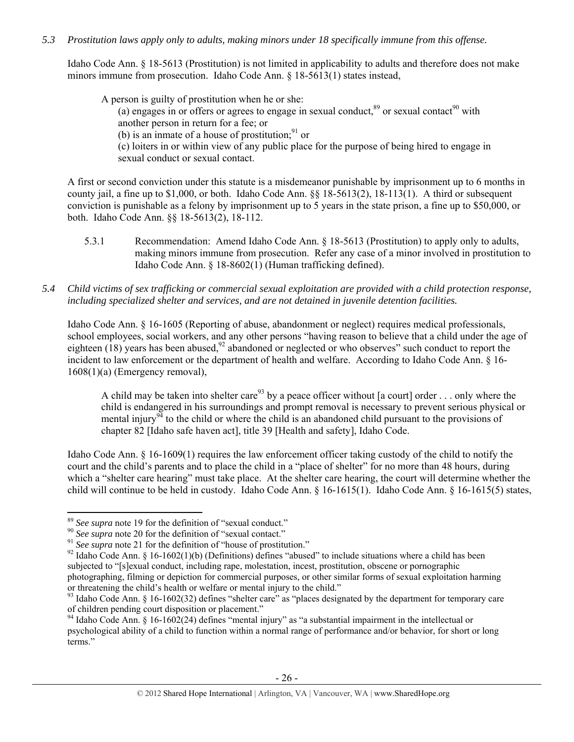## *5.3 Prostitution laws apply only to adults, making minors under 18 specifically immune from this offense.*

Idaho Code Ann. § 18-5613 (Prostitution) is not limited in applicability to adults and therefore does not make minors immune from prosecution. Idaho Code Ann. § 18-5613(1) states instead,

A person is guilty of prostitution when he or she: (a) engages in or offers or agrees to engage in sexual conduct, $89$  or sexual contact $90$  with another person in return for a fee; or (b) is an inmate of a house of prostitution; $91$  or (c) loiters in or within view of any public place for the purpose of being hired to engage in sexual conduct or sexual contact.

A first or second conviction under this statute is a misdemeanor punishable by imprisonment up to 6 months in county jail, a fine up to \$1,000, or both. Idaho Code Ann. §§ 18-5613(2), 18-113(1). A third or subsequent conviction is punishable as a felony by imprisonment up to 5 years in the state prison, a fine up to \$50,000, or both. Idaho Code Ann. §§ 18-5613(2), 18-112.

- 5.3.1 Recommendation: Amend Idaho Code Ann. § 18-5613 (Prostitution) to apply only to adults, making minors immune from prosecution. Refer any case of a minor involved in prostitution to Idaho Code Ann. § 18-8602(1) (Human trafficking defined).
- *5.4 Child victims of sex trafficking or commercial sexual exploitation are provided with a child protection response, including specialized shelter and services, and are not detained in juvenile detention facilities.*

Idaho Code Ann. § 16-1605 (Reporting of abuse, abandonment or neglect) requires medical professionals, school employees, social workers, and any other persons "having reason to believe that a child under the age of eighteen  $(18)$  years has been abused,<sup>92</sup> abandoned or neglected or who observes" such conduct to report the incident to law enforcement or the department of health and welfare. According to Idaho Code Ann. § 16- 1608(1)(a) (Emergency removal),

A child may be taken into shelter care<sup>93</sup> by a peace officer without [a court] order . . . only where the child is endangered in his surroundings and prompt removal is necessary to prevent serious physical or mental injury<sup>94</sup> to the child or where the child is an abandoned child pursuant to the provisions of chapter 82 [Idaho safe haven act], title 39 [Health and safety], Idaho Code.

Idaho Code Ann. § 16-1609(1) requires the law enforcement officer taking custody of the child to notify the court and the child's parents and to place the child in a "place of shelter" for no more than 48 hours, during which a "shelter care hearing" must take place. At the shelter care hearing, the court will determine whether the child will continue to be held in custody. Idaho Code Ann. § 16-1615(1). Idaho Code Ann. § 16-1615(5) states,

<sup>&</sup>lt;sup>89</sup> See supra note 19 for the definition of "sexual conduct."<br><sup>90</sup> See supra note 20 for the definition of "sexual contact."<br><sup>91</sup> See supra note 21 for the definition of "house of prostitution."<br><sup>92</sup> Idaho Code Ann. § 16 subjected to "[s]exual conduct, including rape, molestation, incest, prostitution, obscene or pornographic photographing, filming or depiction for commercial purposes, or other similar forms of sexual exploitation harming or threatening the child's health or welfare or mental injury to the child."

 $93$  Idaho Code Ann. § 16-1602(32) defines "shelter care" as "places designated by the department for temporary care of children pending court disposition or placement."

<sup>&</sup>lt;sup>94</sup> Idaho Code Ann. § 16-1602(24) defines "mental injury" as "a substantial impairment in the intellectual or psychological ability of a child to function within a normal range of performance and/or behavior, for short or long terms."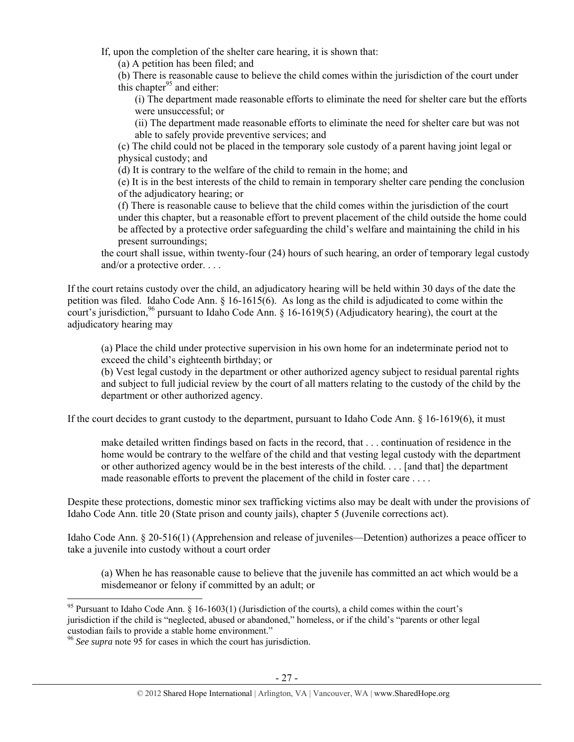If, upon the completion of the shelter care hearing, it is shown that:

(a) A petition has been filed; and

(b) There is reasonable cause to believe the child comes within the jurisdiction of the court under this chapter<sup>95</sup> and either:

(i) The department made reasonable efforts to eliminate the need for shelter care but the efforts were unsuccessful; or

(ii) The department made reasonable efforts to eliminate the need for shelter care but was not able to safely provide preventive services; and

(c) The child could not be placed in the temporary sole custody of a parent having joint legal or physical custody; and

(d) It is contrary to the welfare of the child to remain in the home; and

(e) It is in the best interests of the child to remain in temporary shelter care pending the conclusion of the adjudicatory hearing; or

(f) There is reasonable cause to believe that the child comes within the jurisdiction of the court under this chapter, but a reasonable effort to prevent placement of the child outside the home could be affected by a protective order safeguarding the child's welfare and maintaining the child in his present surroundings;

the court shall issue, within twenty-four (24) hours of such hearing, an order of temporary legal custody and/or a protective order. . . .

If the court retains custody over the child, an adjudicatory hearing will be held within 30 days of the date the petition was filed. Idaho Code Ann. § 16-1615(6). As long as the child is adjudicated to come within the court's jurisdiction,<sup>96</sup> pursuant to Idaho Code Ann. § 16-1619(5) (Adjudicatory hearing), the court at the adjudicatory hearing may

(a) Place the child under protective supervision in his own home for an indeterminate period not to exceed the child's eighteenth birthday; or

(b) Vest legal custody in the department or other authorized agency subject to residual parental rights and subject to full judicial review by the court of all matters relating to the custody of the child by the department or other authorized agency.

If the court decides to grant custody to the department, pursuant to Idaho Code Ann. § 16-1619(6), it must

make detailed written findings based on facts in the record, that . . . continuation of residence in the home would be contrary to the welfare of the child and that vesting legal custody with the department or other authorized agency would be in the best interests of the child. . . . [and that] the department made reasonable efforts to prevent the placement of the child in foster care . . . .

Despite these protections, domestic minor sex trafficking victims also may be dealt with under the provisions of Idaho Code Ann. title 20 (State prison and county jails), chapter 5 (Juvenile corrections act).

Idaho Code Ann. § 20-516(1) (Apprehension and release of juveniles—Detention) authorizes a peace officer to take a juvenile into custody without a court order

(a) When he has reasonable cause to believe that the juvenile has committed an act which would be a misdemeanor or felony if committed by an adult; or

<sup>&</sup>lt;sup>95</sup> Pursuant to Idaho Code Ann. § 16-1603(1) (Jurisdiction of the courts), a child comes within the court's jurisdiction if the child is "neglected, abused or abandoned," homeless, or if the child's "parents or other legal custodian fails to provide a stable home environment."

<sup>96</sup> *See supra* note 95 for cases in which the court has jurisdiction.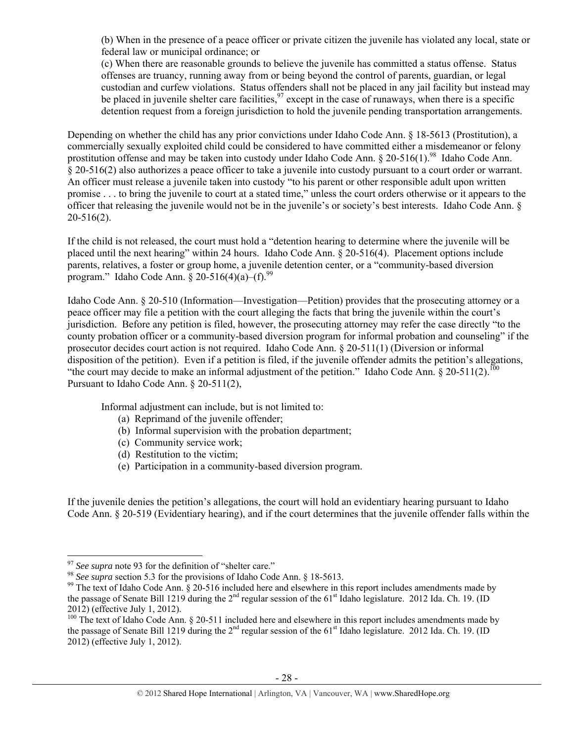(b) When in the presence of a peace officer or private citizen the juvenile has violated any local, state or federal law or municipal ordinance; or

(c) When there are reasonable grounds to believe the juvenile has committed a status offense. Status offenses are truancy, running away from or being beyond the control of parents, guardian, or legal custodian and curfew violations. Status offenders shall not be placed in any jail facility but instead may be placed in juvenile shelter care facilities,  $\frac{97}{2}$  except in the case of runaways, when there is a specific detention request from a foreign jurisdiction to hold the juvenile pending transportation arrangements.

Depending on whether the child has any prior convictions under Idaho Code Ann. § 18-5613 (Prostitution), a commercially sexually exploited child could be considered to have committed either a misdemeanor or felony prostitution offense and may be taken into custody under Idaho Code Ann. § 20-516(1).<sup>98</sup> Idaho Code Ann. § 20-516(2) also authorizes a peace officer to take a juvenile into custody pursuant to a court order or warrant. An officer must release a juvenile taken into custody "to his parent or other responsible adult upon written promise . . . to bring the juvenile to court at a stated time," unless the court orders otherwise or it appears to the officer that releasing the juvenile would not be in the juvenile's or society's best interests. Idaho Code Ann. § 20-516(2).

If the child is not released, the court must hold a "detention hearing to determine where the juvenile will be placed until the next hearing" within 24 hours. Idaho Code Ann. § 20-516(4). Placement options include parents, relatives, a foster or group home, a juvenile detention center, or a "community-based diversion program." Idaho Code Ann.  $\S 20-516(4)(a)$ –(f).<sup>99</sup>

Idaho Code Ann. § 20-510 (Information—Investigation—Petition) provides that the prosecuting attorney or a peace officer may file a petition with the court alleging the facts that bring the juvenile within the court's jurisdiction. Before any petition is filed, however, the prosecuting attorney may refer the case directly "to the county probation officer or a community-based diversion program for informal probation and counseling" if the prosecutor decides court action is not required. Idaho Code Ann. § 20-511(1) (Diversion or informal disposition of the petition). Even if a petition is filed, if the juvenile offender admits the petition's allegations, "the court may decide to make an informal adjustment of the petition." Idaho Code Ann.  $\S 20-511(2)$ .<sup>100</sup> Pursuant to Idaho Code Ann. § 20-511(2),

Informal adjustment can include, but is not limited to:

- (a) Reprimand of the juvenile offender;
- (b) Informal supervision with the probation department;
- (c) Community service work;
- (d) Restitution to the victim;
- (e) Participation in a community-based diversion program.

If the juvenile denies the petition's allegations, the court will hold an evidentiary hearing pursuant to Idaho Code Ann. § 20-519 (Evidentiary hearing), and if the court determines that the juvenile offender falls within the

 $97$  See supra note 93 for the definition of "shelter care."

<sup>&</sup>lt;sup>98</sup> See supra section 5.3 for the provisions of Idaho Code Ann. § 18-5613.<br><sup>99</sup> The text of Idaho Code Ann. § 20-516 included here and elsewhere in this report includes amendments made by the passage of Senate Bill 1219 during the  $2^{nd}$  regular session of the 61<sup>st</sup> Idaho legislature. 2012 Ida. Ch. 19. (ID 2012) (effective July 1, 2012).

 $100$  The text of Idaho Code Ann. § 20-511 included here and elsewhere in this report includes amendments made by the passage of Senate Bill 1219 during the 2<sup>nd</sup> regular session of the 61<sup>st</sup> Idaho legislature. 2012 Ida. Ch. 19. (ID 2012) (effective July 1, 2012).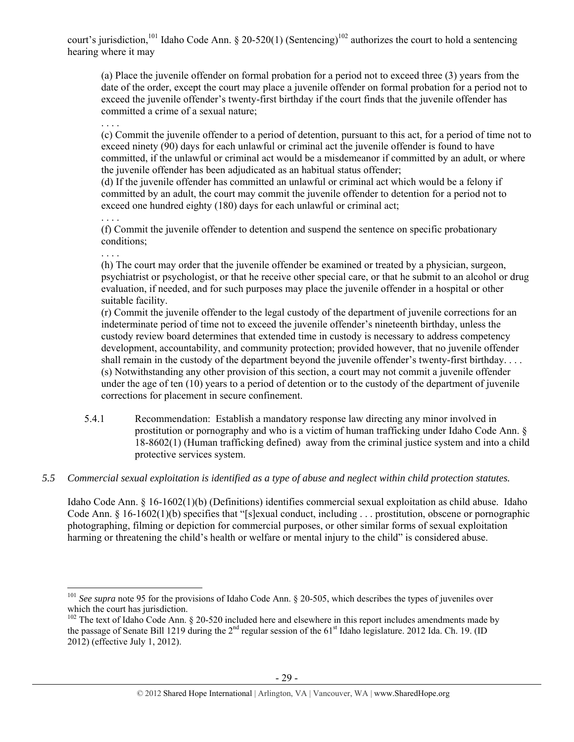court's jurisdiction,<sup>101</sup> Idaho Code Ann. § 20-520(1) (Sentencing)<sup>102</sup> authorizes the court to hold a sentencing hearing where it may

(a) Place the juvenile offender on formal probation for a period not to exceed three (3) years from the date of the order, except the court may place a juvenile offender on formal probation for a period not to exceed the juvenile offender's twenty-first birthday if the court finds that the juvenile offender has committed a crime of a sexual nature;

. . . . (c) Commit the juvenile offender to a period of detention, pursuant to this act, for a period of time not to exceed ninety (90) days for each unlawful or criminal act the juvenile offender is found to have committed, if the unlawful or criminal act would be a misdemeanor if committed by an adult, or where the juvenile offender has been adjudicated as an habitual status offender;

(d) If the juvenile offender has committed an unlawful or criminal act which would be a felony if committed by an adult, the court may commit the juvenile offender to detention for a period not to exceed one hundred eighty (180) days for each unlawful or criminal act;

. . . . (f) Commit the juvenile offender to detention and suspend the sentence on specific probationary conditions;

. . . .

(h) The court may order that the juvenile offender be examined or treated by a physician, surgeon, psychiatrist or psychologist, or that he receive other special care, or that he submit to an alcohol or drug evaluation, if needed, and for such purposes may place the juvenile offender in a hospital or other suitable facility.

(r) Commit the juvenile offender to the legal custody of the department of juvenile corrections for an indeterminate period of time not to exceed the juvenile offender's nineteenth birthday, unless the custody review board determines that extended time in custody is necessary to address competency development, accountability, and community protection; provided however, that no juvenile offender shall remain in the custody of the department beyond the juvenile offender's twenty-first birthday.... (s) Notwithstanding any other provision of this section, a court may not commit a juvenile offender under the age of ten (10) years to a period of detention or to the custody of the department of juvenile corrections for placement in secure confinement.

- 5.4.1 Recommendation: Establish a mandatory response law directing any minor involved in prostitution or pornography and who is a victim of human trafficking under Idaho Code Ann. § 18-8602(1) (Human trafficking defined) away from the criminal justice system and into a child protective services system.
- *5.5 Commercial sexual exploitation is identified as a type of abuse and neglect within child protection statutes.*

Idaho Code Ann. § 16-1602(1)(b) (Definitions) identifies commercial sexual exploitation as child abuse. Idaho Code Ann. § 16-1602(1)(b) specifies that "[s]exual conduct, including . . . prostitution, obscene or pornographic photographing, filming or depiction for commercial purposes, or other similar forms of sexual exploitation harming or threatening the child's health or welfare or mental injury to the child" is considered abuse.

 <sup>101</sup> See supra note 95 for the provisions of Idaho Code Ann. § 20-505, which describes the types of juveniles over which the court has jurisdiction.

 $102$  The text of Idaho Code Ann. § 20-520 included here and elsewhere in this report includes amendments made by the passage of Senate Bill 1219 during the  $2^{nd}$  regular session of the 61<sup>st</sup> Idaho legislature. 2012 Ida. Ch. 19. (ID 2012) (effective July 1, 2012).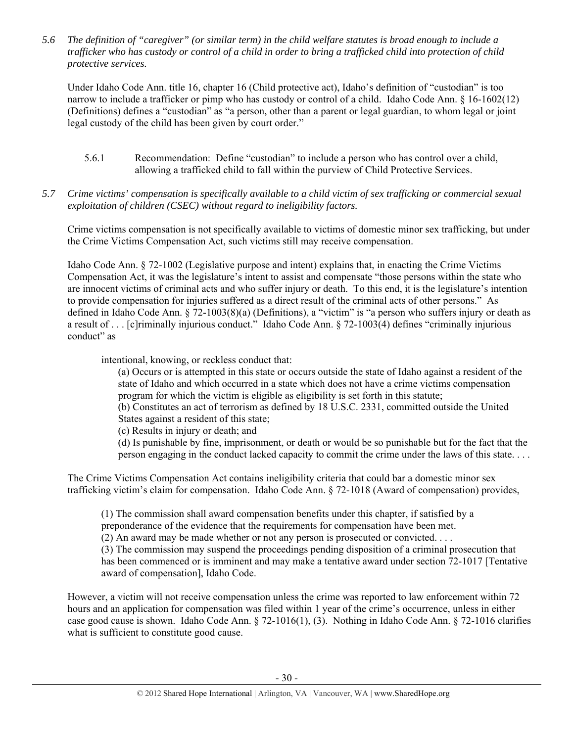*5.6 The definition of "caregiver" (or similar term) in the child welfare statutes is broad enough to include a trafficker who has custody or control of a child in order to bring a trafficked child into protection of child protective services.* 

Under Idaho Code Ann. title 16, chapter 16 (Child protective act), Idaho's definition of "custodian" is too narrow to include a trafficker or pimp who has custody or control of a child. Idaho Code Ann. § 16-1602(12) (Definitions) defines a "custodian" as "a person, other than a parent or legal guardian, to whom legal or joint legal custody of the child has been given by court order."

- 5.6.1 Recommendation: Define "custodian" to include a person who has control over a child, allowing a trafficked child to fall within the purview of Child Protective Services.
- *5.7 Crime victims' compensation is specifically available to a child victim of sex trafficking or commercial sexual exploitation of children (CSEC) without regard to ineligibility factors.*

Crime victims compensation is not specifically available to victims of domestic minor sex trafficking, but under the Crime Victims Compensation Act, such victims still may receive compensation.

Idaho Code Ann. § 72-1002 (Legislative purpose and intent) explains that, in enacting the Crime Victims Compensation Act, it was the legislature's intent to assist and compensate "those persons within the state who are innocent victims of criminal acts and who suffer injury or death. To this end, it is the legislature's intention to provide compensation for injuries suffered as a direct result of the criminal acts of other persons." As defined in Idaho Code Ann. § 72-1003(8)(a) (Definitions), a "victim" is "a person who suffers injury or death as a result of . . . [c]riminally injurious conduct." Idaho Code Ann. § 72-1003(4) defines "criminally injurious conduct" as

intentional, knowing, or reckless conduct that:

(a) Occurs or is attempted in this state or occurs outside the state of Idaho against a resident of the state of Idaho and which occurred in a state which does not have a crime victims compensation program for which the victim is eligible as eligibility is set forth in this statute;

(b) Constitutes an act of terrorism as defined by 18 U.S.C. 2331, committed outside the United States against a resident of this state;

(c) Results in injury or death; and

(d) Is punishable by fine, imprisonment, or death or would be so punishable but for the fact that the person engaging in the conduct lacked capacity to commit the crime under the laws of this state. . . .

The Crime Victims Compensation Act contains ineligibility criteria that could bar a domestic minor sex trafficking victim's claim for compensation. Idaho Code Ann. § 72-1018 (Award of compensation) provides,

(1) The commission shall award compensation benefits under this chapter, if satisfied by a preponderance of the evidence that the requirements for compensation have been met.

(2) An award may be made whether or not any person is prosecuted or convicted. . . .

(3) The commission may suspend the proceedings pending disposition of a criminal prosecution that has been commenced or is imminent and may make a tentative award under section 72-1017 [Tentative award of compensation], Idaho Code.

However, a victim will not receive compensation unless the crime was reported to law enforcement within 72 hours and an application for compensation was filed within 1 year of the crime's occurrence, unless in either case good cause is shown. Idaho Code Ann. § 72-1016(1), (3). Nothing in Idaho Code Ann. § 72-1016 clarifies what is sufficient to constitute good cause.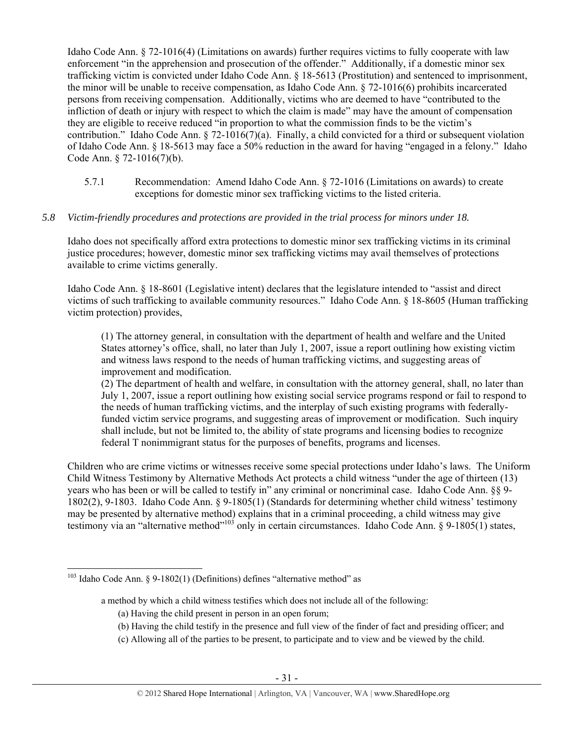Idaho Code Ann. § 72-1016(4) (Limitations on awards) further requires victims to fully cooperate with law enforcement "in the apprehension and prosecution of the offender." Additionally, if a domestic minor sex trafficking victim is convicted under Idaho Code Ann. § 18-5613 (Prostitution) and sentenced to imprisonment, the minor will be unable to receive compensation, as Idaho Code Ann. § 72-1016(6) prohibits incarcerated persons from receiving compensation. Additionally, victims who are deemed to have "contributed to the infliction of death or injury with respect to which the claim is made" may have the amount of compensation they are eligible to receive reduced "in proportion to what the commission finds to be the victim's contribution." Idaho Code Ann. § 72-1016(7)(a). Finally, a child convicted for a third or subsequent violation of Idaho Code Ann. § 18-5613 may face a 50% reduction in the award for having "engaged in a felony." Idaho Code Ann. § 72-1016(7)(b).

5.7.1 Recommendation: Amend Idaho Code Ann. § 72-1016 (Limitations on awards) to create exceptions for domestic minor sex trafficking victims to the listed criteria.

## *5.8 Victim-friendly procedures and protections are provided in the trial process for minors under 18.*

Idaho does not specifically afford extra protections to domestic minor sex trafficking victims in its criminal justice procedures; however, domestic minor sex trafficking victims may avail themselves of protections available to crime victims generally.

Idaho Code Ann. § 18-8601 (Legislative intent) declares that the legislature intended to "assist and direct victims of such trafficking to available community resources." Idaho Code Ann. § 18-8605 (Human trafficking victim protection) provides,

(1) The attorney general, in consultation with the department of health and welfare and the United States attorney's office, shall, no later than July 1, 2007, issue a report outlining how existing victim and witness laws respond to the needs of human trafficking victims, and suggesting areas of improvement and modification.

(2) The department of health and welfare, in consultation with the attorney general, shall, no later than July 1, 2007, issue a report outlining how existing social service programs respond or fail to respond to the needs of human trafficking victims, and the interplay of such existing programs with federallyfunded victim service programs, and suggesting areas of improvement or modification. Such inquiry shall include, but not be limited to, the ability of state programs and licensing bodies to recognize federal T nonimmigrant status for the purposes of benefits, programs and licenses.

Children who are crime victims or witnesses receive some special protections under Idaho's laws. The Uniform Child Witness Testimony by Alternative Methods Act protects a child witness "under the age of thirteen (13) years who has been or will be called to testify in" any criminal or noncriminal case. Idaho Code Ann. §§ 9- 1802(2), 9-1803. Idaho Code Ann. § 9-1805(1) (Standards for determining whether child witness' testimony may be presented by alternative method) explains that in a criminal proceeding, a child witness may give testimony via an "alternative method"<sup>103</sup> only in certain circumstances. Idaho Code Ann. § 9-1805(1) states,

- (a) Having the child present in person in an open forum;
- (b) Having the child testify in the presence and full view of the finder of fact and presiding officer; and
- (c) Allowing all of the parties to be present, to participate and to view and be viewed by the child.

 $103$  Idaho Code Ann. § 9-1802(1) (Definitions) defines "alternative method" as

a method by which a child witness testifies which does not include all of the following: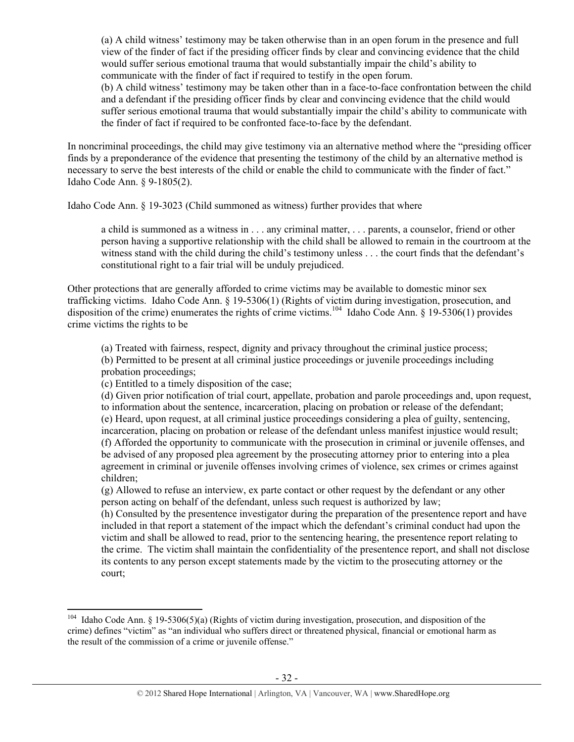(a) A child witness' testimony may be taken otherwise than in an open forum in the presence and full view of the finder of fact if the presiding officer finds by clear and convincing evidence that the child would suffer serious emotional trauma that would substantially impair the child's ability to communicate with the finder of fact if required to testify in the open forum.

(b) A child witness' testimony may be taken other than in a face-to-face confrontation between the child and a defendant if the presiding officer finds by clear and convincing evidence that the child would suffer serious emotional trauma that would substantially impair the child's ability to communicate with the finder of fact if required to be confronted face-to-face by the defendant.

In noncriminal proceedings, the child may give testimony via an alternative method where the "presiding officer finds by a preponderance of the evidence that presenting the testimony of the child by an alternative method is necessary to serve the best interests of the child or enable the child to communicate with the finder of fact." Idaho Code Ann. § 9-1805(2).

Idaho Code Ann. § 19-3023 (Child summoned as witness) further provides that where

a child is summoned as a witness in . . . any criminal matter, . . . parents, a counselor, friend or other person having a supportive relationship with the child shall be allowed to remain in the courtroom at the witness stand with the child during the child's testimony unless . . . the court finds that the defendant's constitutional right to a fair trial will be unduly prejudiced.

Other protections that are generally afforded to crime victims may be available to domestic minor sex trafficking victims. Idaho Code Ann. § 19-5306(1) (Rights of victim during investigation, prosecution, and disposition of the crime) enumerates the rights of crime victims.<sup>104</sup> Idaho Code Ann. § 19-5306(1) provides crime victims the rights to be

(a) Treated with fairness, respect, dignity and privacy throughout the criminal justice process; (b) Permitted to be present at all criminal justice proceedings or juvenile proceedings including probation proceedings;

(c) Entitled to a timely disposition of the case;

(d) Given prior notification of trial court, appellate, probation and parole proceedings and, upon request, to information about the sentence, incarceration, placing on probation or release of the defendant; (e) Heard, upon request, at all criminal justice proceedings considering a plea of guilty, sentencing, incarceration, placing on probation or release of the defendant unless manifest injustice would result; (f) Afforded the opportunity to communicate with the prosecution in criminal or juvenile offenses, and be advised of any proposed plea agreement by the prosecuting attorney prior to entering into a plea agreement in criminal or juvenile offenses involving crimes of violence, sex crimes or crimes against children;

(g) Allowed to refuse an interview, ex parte contact or other request by the defendant or any other person acting on behalf of the defendant, unless such request is authorized by law;

(h) Consulted by the presentence investigator during the preparation of the presentence report and have included in that report a statement of the impact which the defendant's criminal conduct had upon the victim and shall be allowed to read, prior to the sentencing hearing, the presentence report relating to the crime. The victim shall maintain the confidentiality of the presentence report, and shall not disclose its contents to any person except statements made by the victim to the prosecuting attorney or the court;

 <sup>104</sup> Idaho Code Ann. § 19-5306(5)(a) (Rights of victim during investigation, prosecution, and disposition of the crime) defines "victim" as "an individual who suffers direct or threatened physical, financial or emotional harm as the result of the commission of a crime or juvenile offense."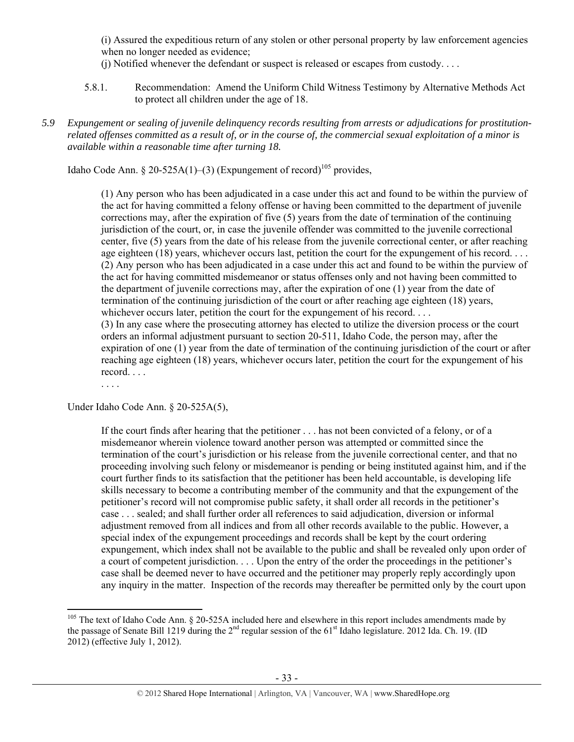(i) Assured the expeditious return of any stolen or other personal property by law enforcement agencies when no longer needed as evidence;

(j) Notified whenever the defendant or suspect is released or escapes from custody. . . .

- 5.8.1. Recommendation: Amend the Uniform Child Witness Testimony by Alternative Methods Act to protect all children under the age of 18.
- *5.9 Expungement or sealing of juvenile delinquency records resulting from arrests or adjudications for prostitutionrelated offenses committed as a result of, or in the course of, the commercial sexual exploitation of a minor is available within a reasonable time after turning 18.*

Idaho Code Ann. § 20-525A(1)–(3) (Expungement of record)<sup>105</sup> provides,

(1) Any person who has been adjudicated in a case under this act and found to be within the purview of the act for having committed a felony offense or having been committed to the department of juvenile corrections may, after the expiration of five (5) years from the date of termination of the continuing jurisdiction of the court, or, in case the juvenile offender was committed to the juvenile correctional center, five (5) years from the date of his release from the juvenile correctional center, or after reaching age eighteen (18) years, whichever occurs last, petition the court for the expungement of his record. . . . (2) Any person who has been adjudicated in a case under this act and found to be within the purview of the act for having committed misdemeanor or status offenses only and not having been committed to the department of juvenile corrections may, after the expiration of one (1) year from the date of termination of the continuing jurisdiction of the court or after reaching age eighteen (18) years, whichever occurs later, petition the court for the expungement of his record. . . .

(3) In any case where the prosecuting attorney has elected to utilize the diversion process or the court orders an informal adjustment pursuant to section 20-511, Idaho Code, the person may, after the expiration of one (1) year from the date of termination of the continuing jurisdiction of the court or after reaching age eighteen (18) years, whichever occurs later, petition the court for the expungement of his record. . . .

. . . .

Under Idaho Code Ann. § 20-525A(5),

If the court finds after hearing that the petitioner . . . has not been convicted of a felony, or of a misdemeanor wherein violence toward another person was attempted or committed since the termination of the court's jurisdiction or his release from the juvenile correctional center, and that no proceeding involving such felony or misdemeanor is pending or being instituted against him, and if the court further finds to its satisfaction that the petitioner has been held accountable, is developing life skills necessary to become a contributing member of the community and that the expungement of the petitioner's record will not compromise public safety, it shall order all records in the petitioner's case . . . sealed; and shall further order all references to said adjudication, diversion or informal adjustment removed from all indices and from all other records available to the public. However, a special index of the expungement proceedings and records shall be kept by the court ordering expungement, which index shall not be available to the public and shall be revealed only upon order of a court of competent jurisdiction. . . . Upon the entry of the order the proceedings in the petitioner's case shall be deemed never to have occurred and the petitioner may properly reply accordingly upon any inquiry in the matter. Inspection of the records may thereafter be permitted only by the court upon

 $105$  The text of Idaho Code Ann. § 20-525A included here and elsewhere in this report includes amendments made by the passage of Senate Bill 1219 during the  $2<sup>nd</sup>$  regular session of the 61<sup>st</sup> Idaho legislature. 2012 Ida. Ch. 19. (ID 2012) (effective July 1, 2012).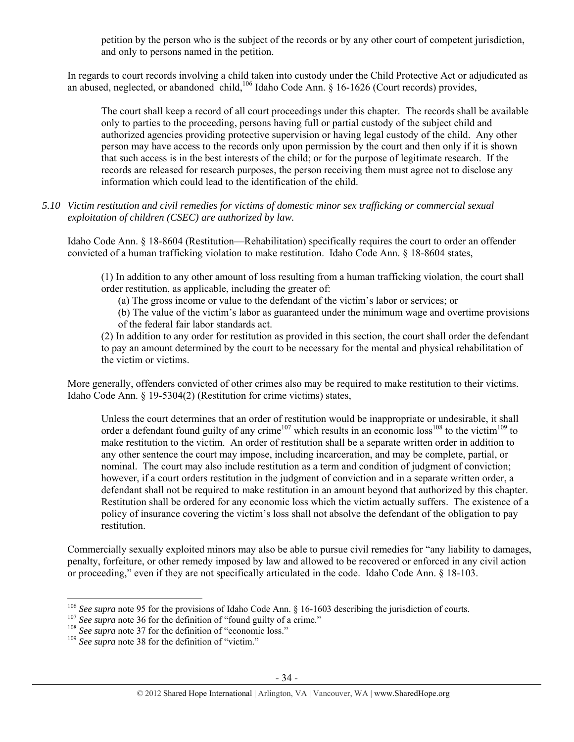petition by the person who is the subject of the records or by any other court of competent jurisdiction, and only to persons named in the petition.

In regards to court records involving a child taken into custody under the Child Protective Act or adjudicated as an abused, neglected, or abandoned child,<sup>106</sup> Idaho Code Ann. § 16-1626 (Court records) provides,

The court shall keep a record of all court proceedings under this chapter. The records shall be available only to parties to the proceeding, persons having full or partial custody of the subject child and authorized agencies providing protective supervision or having legal custody of the child. Any other person may have access to the records only upon permission by the court and then only if it is shown that such access is in the best interests of the child; or for the purpose of legitimate research. If the records are released for research purposes, the person receiving them must agree not to disclose any information which could lead to the identification of the child.

#### *5.10 Victim restitution and civil remedies for victims of domestic minor sex trafficking or commercial sexual exploitation of children (CSEC) are authorized by law.*

Idaho Code Ann. § 18-8604 (Restitution—Rehabilitation) specifically requires the court to order an offender convicted of a human trafficking violation to make restitution. Idaho Code Ann. § 18-8604 states,

(1) In addition to any other amount of loss resulting from a human trafficking violation, the court shall order restitution, as applicable, including the greater of:

(a) The gross income or value to the defendant of the victim's labor or services; or

(b) The value of the victim's labor as guaranteed under the minimum wage and overtime provisions of the federal fair labor standards act.

(2) In addition to any order for restitution as provided in this section, the court shall order the defendant to pay an amount determined by the court to be necessary for the mental and physical rehabilitation of the victim or victims.

More generally, offenders convicted of other crimes also may be required to make restitution to their victims. Idaho Code Ann. § 19-5304(2) (Restitution for crime victims) states,

Unless the court determines that an order of restitution would be inappropriate or undesirable, it shall order a defendant found guilty of any crime<sup>107</sup> which results in an economic loss<sup>108</sup> to the victim<sup>109</sup> to make restitution to the victim. An order of restitution shall be a separate written order in addition to any other sentence the court may impose, including incarceration, and may be complete, partial, or nominal. The court may also include restitution as a term and condition of judgment of conviction; however, if a court orders restitution in the judgment of conviction and in a separate written order, a defendant shall not be required to make restitution in an amount beyond that authorized by this chapter. Restitution shall be ordered for any economic loss which the victim actually suffers. The existence of a policy of insurance covering the victim's loss shall not absolve the defendant of the obligation to pay restitution.

Commercially sexually exploited minors may also be able to pursue civil remedies for "any liability to damages, penalty, forfeiture, or other remedy imposed by law and allowed to be recovered or enforced in any civil action or proceeding," even if they are not specifically articulated in the code. Idaho Code Ann. § 18-103.

<sup>&</sup>lt;sup>106</sup> See supra note 95 for the provisions of Idaho Code Ann. § 16-1603 describing the jurisdiction of courts.<br><sup>107</sup> See supra note 36 for the definition of "found guilty of a crime."<br><sup>108</sup> See supra note 37 for the defin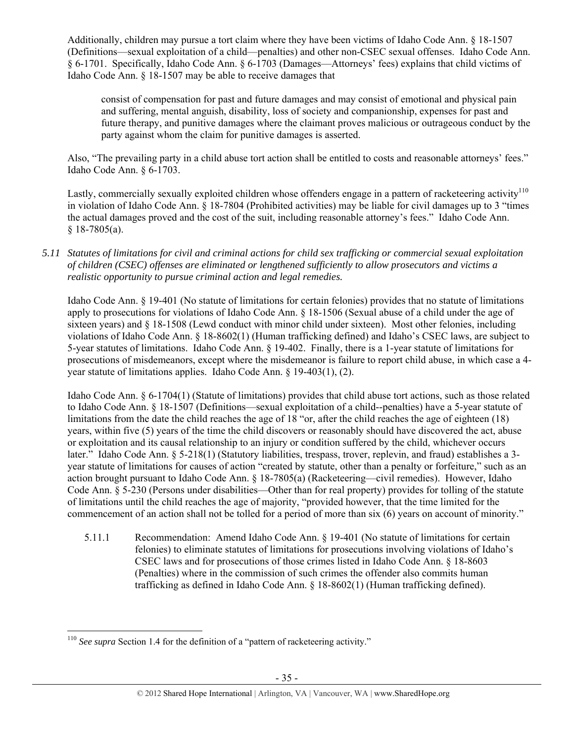Additionally, children may pursue a tort claim where they have been victims of Idaho Code Ann. § 18-1507 (Definitions—sexual exploitation of a child—penalties) and other non-CSEC sexual offenses. Idaho Code Ann. § 6-1701. Specifically, Idaho Code Ann. § 6-1703 (Damages—Attorneys' fees) explains that child victims of Idaho Code Ann. § 18-1507 may be able to receive damages that

consist of compensation for past and future damages and may consist of emotional and physical pain and suffering, mental anguish, disability, loss of society and companionship, expenses for past and future therapy, and punitive damages where the claimant proves malicious or outrageous conduct by the party against whom the claim for punitive damages is asserted.

Also, "The prevailing party in a child abuse tort action shall be entitled to costs and reasonable attorneys' fees." Idaho Code Ann. § 6-1703.

Lastly, commercially sexually exploited children whose offenders engage in a pattern of racketeering activity<sup>110</sup> in violation of Idaho Code Ann. § 18-7804 (Prohibited activities) may be liable for civil damages up to 3 "times the actual damages proved and the cost of the suit, including reasonable attorney's fees." Idaho Code Ann.  $$18-7805(a).$ 

*5.11 Statutes of limitations for civil and criminal actions for child sex trafficking or commercial sexual exploitation of children (CSEC) offenses are eliminated or lengthened sufficiently to allow prosecutors and victims a realistic opportunity to pursue criminal action and legal remedies.* 

Idaho Code Ann. § 19-401 (No statute of limitations for certain felonies) provides that no statute of limitations apply to prosecutions for violations of Idaho Code Ann. § 18-1506 (Sexual abuse of a child under the age of sixteen years) and § 18-1508 (Lewd conduct with minor child under sixteen). Most other felonies, including violations of Idaho Code Ann. § 18-8602(1) (Human trafficking defined) and Idaho's CSEC laws, are subject to 5-year statutes of limitations. Idaho Code Ann. § 19-402. Finally, there is a 1-year statute of limitations for prosecutions of misdemeanors, except where the misdemeanor is failure to report child abuse, in which case a 4 year statute of limitations applies. Idaho Code Ann. § 19-403(1), (2).

Idaho Code Ann. § 6-1704(1) (Statute of limitations) provides that child abuse tort actions, such as those related to Idaho Code Ann. § 18-1507 (Definitions—sexual exploitation of a child--penalties) have a 5-year statute of limitations from the date the child reaches the age of 18 "or, after the child reaches the age of eighteen (18) years, within five (5) years of the time the child discovers or reasonably should have discovered the act, abuse or exploitation and its causal relationship to an injury or condition suffered by the child, whichever occurs later." Idaho Code Ann. § 5-218(1) (Statutory liabilities, trespass, trover, replevin, and fraud) establishes a 3 year statute of limitations for causes of action "created by statute, other than a penalty or forfeiture," such as an action brought pursuant to Idaho Code Ann. § 18-7805(a) (Racketeering—civil remedies). However, Idaho Code Ann. § 5-230 (Persons under disabilities—Other than for real property) provides for tolling of the statute of limitations until the child reaches the age of majority, "provided however, that the time limited for the commencement of an action shall not be tolled for a period of more than six (6) years on account of minority."

5.11.1 Recommendation: Amend Idaho Code Ann. § 19-401 (No statute of limitations for certain felonies) to eliminate statutes of limitations for prosecutions involving violations of Idaho's CSEC laws and for prosecutions of those crimes listed in Idaho Code Ann. § 18-8603 (Penalties) where in the commission of such crimes the offender also commits human trafficking as defined in Idaho Code Ann. § 18-8602(1) (Human trafficking defined).

 <sup>110</sup> See supra Section 1.4 for the definition of a "pattern of racketeering activity."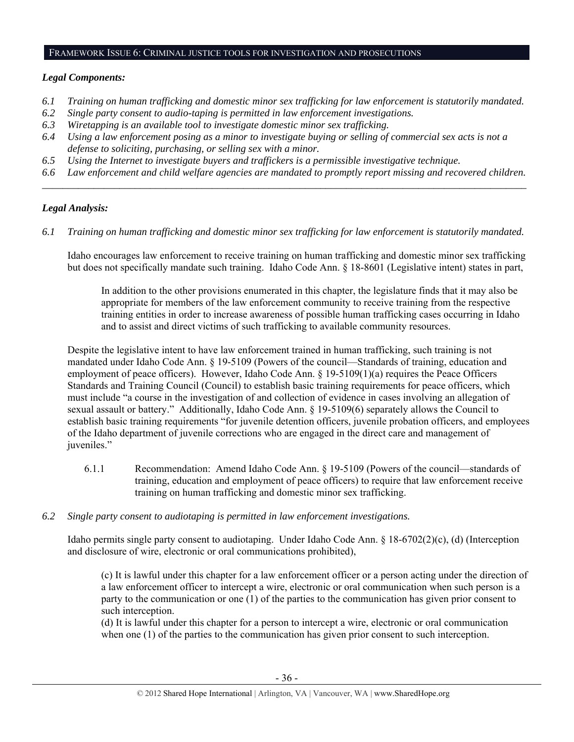#### FRAMEWORK ISSUE 6: CRIMINAL JUSTICE TOOLS FOR INVESTIGATION AND PROSECUTIONS

## *Legal Components:*

- *6.1 Training on human trafficking and domestic minor sex trafficking for law enforcement is statutorily mandated.*
- *6.2 Single party consent to audio-taping is permitted in law enforcement investigations.*
- *6.3 Wiretapping is an available tool to investigate domestic minor sex trafficking.*
- *6.4 Using a law enforcement posing as a minor to investigate buying or selling of commercial sex acts is not a defense to soliciting, purchasing, or selling sex with a minor.*
- *6.5 Using the Internet to investigate buyers and traffickers is a permissible investigative technique.*
- *6.6 Law enforcement and child welfare agencies are mandated to promptly report missing and recovered children. \_\_\_\_\_\_\_\_\_\_\_\_\_\_\_\_\_\_\_\_\_\_\_\_\_\_\_\_\_\_\_\_\_\_\_\_\_\_\_\_\_\_\_\_\_\_\_\_\_\_\_\_\_\_\_\_\_\_\_\_\_\_\_\_\_\_\_\_\_\_\_\_\_\_\_\_\_\_\_\_\_\_\_\_\_\_\_\_\_\_\_\_\_\_*

# *Legal Analysis:*

*6.1 Training on human trafficking and domestic minor sex trafficking for law enforcement is statutorily mandated.*

Idaho encourages law enforcement to receive training on human trafficking and domestic minor sex trafficking but does not specifically mandate such training. Idaho Code Ann. § 18-8601 (Legislative intent) states in part,

In addition to the other provisions enumerated in this chapter, the legislature finds that it may also be appropriate for members of the law enforcement community to receive training from the respective training entities in order to increase awareness of possible human trafficking cases occurring in Idaho and to assist and direct victims of such trafficking to available community resources.

Despite the legislative intent to have law enforcement trained in human trafficking, such training is not mandated under Idaho Code Ann. § 19-5109 (Powers of the council—Standards of training, education and employment of peace officers). However, Idaho Code Ann. § 19-5109(1)(a) requires the Peace Officers Standards and Training Council (Council) to establish basic training requirements for peace officers, which must include "a course in the investigation of and collection of evidence in cases involving an allegation of sexual assault or battery." Additionally, Idaho Code Ann. § 19-5109(6) separately allows the Council to establish basic training requirements "for juvenile detention officers, juvenile probation officers, and employees of the Idaho department of juvenile corrections who are engaged in the direct care and management of iuveniles."

- 6.1.1 Recommendation: Amend Idaho Code Ann. § 19-5109 (Powers of the council—standards of training, education and employment of peace officers) to require that law enforcement receive training on human trafficking and domestic minor sex trafficking.
- *6.2 Single party consent to audiotaping is permitted in law enforcement investigations.*

Idaho permits single party consent to audiotaping. Under Idaho Code Ann. § 18-6702(2)(c), (d) (Interception and disclosure of wire, electronic or oral communications prohibited),

(c) It is lawful under this chapter for a law enforcement officer or a person acting under the direction of a law enforcement officer to intercept a wire, electronic or oral communication when such person is a party to the communication or one (1) of the parties to the communication has given prior consent to such interception.

(d) It is lawful under this chapter for a person to intercept a wire, electronic or oral communication when one (1) of the parties to the communication has given prior consent to such interception.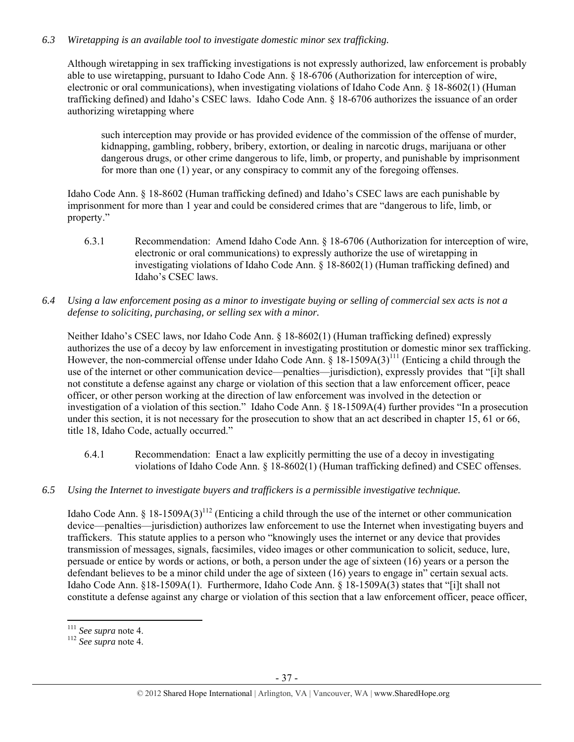# *6.3 Wiretapping is an available tool to investigate domestic minor sex trafficking.*

Although wiretapping in sex trafficking investigations is not expressly authorized, law enforcement is probably able to use wiretapping, pursuant to Idaho Code Ann. § 18-6706 (Authorization for interception of wire, electronic or oral communications), when investigating violations of Idaho Code Ann. § 18-8602(1) (Human trafficking defined) and Idaho's CSEC laws. Idaho Code Ann. § 18-6706 authorizes the issuance of an order authorizing wiretapping where

such interception may provide or has provided evidence of the commission of the offense of murder, kidnapping, gambling, robbery, bribery, extortion, or dealing in narcotic drugs, marijuana or other dangerous drugs, or other crime dangerous to life, limb, or property, and punishable by imprisonment for more than one (1) year, or any conspiracy to commit any of the foregoing offenses.

Idaho Code Ann. § 18-8602 (Human trafficking defined) and Idaho's CSEC laws are each punishable by imprisonment for more than 1 year and could be considered crimes that are "dangerous to life, limb, or property."

- 6.3.1 Recommendation: Amend Idaho Code Ann. § 18-6706 (Authorization for interception of wire, electronic or oral communications) to expressly authorize the use of wiretapping in investigating violations of Idaho Code Ann. § 18-8602(1) (Human trafficking defined) and Idaho's CSEC laws.
- *6.4 Using a law enforcement posing as a minor to investigate buying or selling of commercial sex acts is not a defense to soliciting, purchasing, or selling sex with a minor.*

Neither Idaho's CSEC laws, nor Idaho Code Ann. § 18-8602(1) (Human trafficking defined) expressly authorizes the use of a decoy by law enforcement in investigating prostitution or domestic minor sex trafficking. However, the non-commercial offense under Idaho Code Ann.  $\S$  18-1509A(3)<sup>111</sup> (Enticing a child through the use of the internet or other communication device—penalties—jurisdiction), expressly provides that "[i]t shall not constitute a defense against any charge or violation of this section that a law enforcement officer, peace officer, or other person working at the direction of law enforcement was involved in the detection or investigation of a violation of this section." Idaho Code Ann. § 18-1509A(4) further provides "In a prosecution under this section, it is not necessary for the prosecution to show that an act described in chapter 15, 61 or 66, title 18, Idaho Code, actually occurred."

- 6.4.1 Recommendation: Enact a law explicitly permitting the use of a decoy in investigating violations of Idaho Code Ann. § 18-8602(1) (Human trafficking defined) and CSEC offenses.
- *6.5 Using the Internet to investigate buyers and traffickers is a permissible investigative technique.*

Idaho Code Ann. § 18-1509A(3)<sup>112</sup> (Enticing a child through the use of the internet or other communication device—penalties—jurisdiction) authorizes law enforcement to use the Internet when investigating buyers and traffickers. This statute applies to a person who "knowingly uses the internet or any device that provides transmission of messages, signals, facsimiles, video images or other communication to solicit, seduce, lure, persuade or entice by words or actions, or both, a person under the age of sixteen (16) years or a person the defendant believes to be a minor child under the age of sixteen (16) years to engage in" certain sexual acts. Idaho Code Ann. §18-1509A(1). Furthermore, Idaho Code Ann. § 18-1509A(3) states that "[i]t shall not constitute a defense against any charge or violation of this section that a law enforcement officer, peace officer,

 $111$  See supra note 4.

<sup>111</sup> *See supra* note 4. 112 *See supra* note 4.